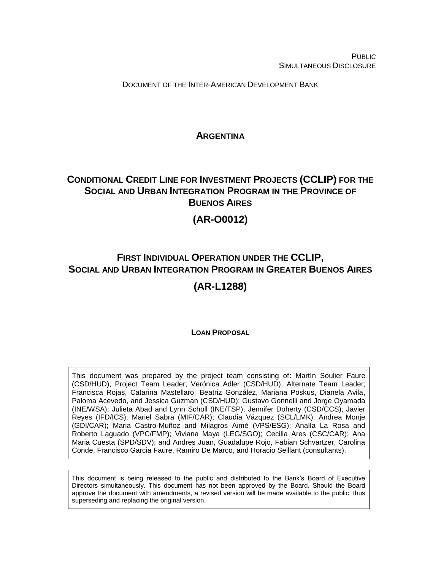**PUBLIC** SIMULTANEOUS DISCLOSURE

DOCUMENT OF THE INTER-AMERICAN DEVELOPMENT BANK

# **ARGENTINA**

# <span id="page-0-0"></span>**CONDITIONAL CREDIT LINE FOR INVESTMENT PROJECTS (CCLIP) FOR THE SOCIAL AND URBAN INTEGRATION PROGRAM IN THE PROVINCE OF BUENOS AIRES**

# **(AR-O0012)**

# **FIRST INDIVIDUAL OPERATION UNDER THE CCLIP, SOCIAL AND URBAN INTEGRATION PROGRAM IN GREATER BUENOS AIRES**

# **(AR-L1288)**

# **LOAN PROPOSAL**

This document was prepared by the project team consisting of: Martín Soulier Faure (CSD/HUD), Project Team Leader; Verónica Adler (CSD/HUD), Alternate Team Leader; Francisca Rojas, Catarina Mastellaro, Beatriz González, Mariana Poskus, Dianela Avila, Paloma Acevedo, and Jessica Guzman (CSD/HUD); Gustavo Gonnelli and Jorge Oyamada (INE/WSA); Julieta Abad and Lynn Scholl (INE/TSP); Jennifer Doherty (CSD/CCS); Javier Reyes (IFD/ICS); Mariel Sabra (MIF/CAR); Claudia Vázquez (SCL/LMK); Andrea Monje (GDI/CAR); Maria Castro-Muñoz and Milagros Aimé (VPS/ESG); Analía La Rosa and Roberto Laguado (VPC/FMP); Viviana Maya (LEG/SGO); Cecilia Ares (CSC/CAR); Ana Maria Cuesta (SPD/SDV); and Andres Juan, Guadalupe Rojo, Fabian Schvartzer, Carolina Conde, Francisco Garcia Faure, Ramiro De Marco, and Horacio Seillant (consultants).

This document is being released to the public and distributed to the Bank's Board of Executive Directors simultaneously. This document has not been approved by the Board. Should the Board approve the document with amendments, a revised version will be made available to the public, thus superseding and replacing the original version.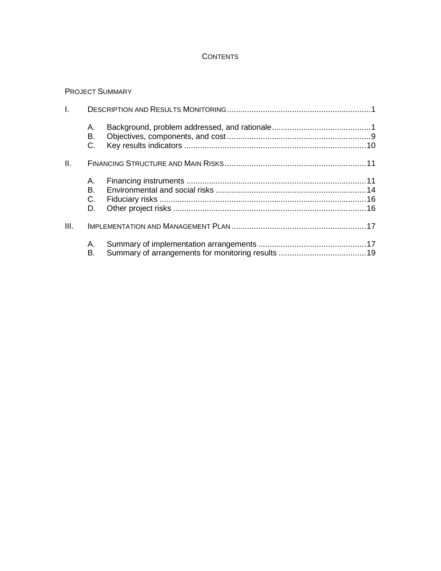# **CONTENTS**

## PROJECT SUMMARY

| I.   |                        |  |
|------|------------------------|--|
|      | А.<br>В.<br>C.         |  |
| Ш.   |                        |  |
|      | A. .<br>В.<br>C.<br>D. |  |
| III. |                        |  |
|      | А.<br>В.               |  |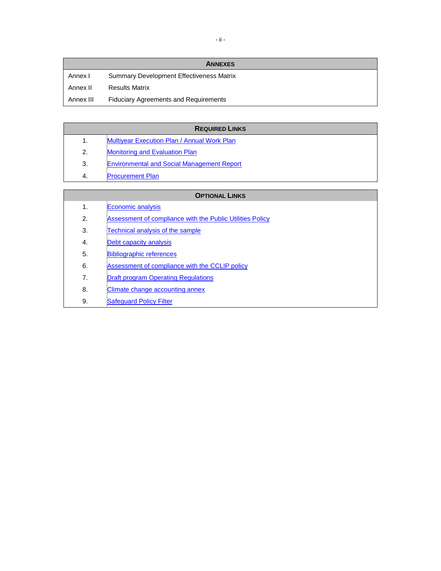|           | <b>ANNEXES</b>                                  |
|-----------|-------------------------------------------------|
| Annex I   | <b>Summary Development Effectiveness Matrix</b> |
| Annex II  | <b>Results Matrix</b>                           |
| Annex III | <b>Fiduciary Agreements and Requirements</b>    |

# **REQUIRED LINKS**

- 1. [Multiyear Execution Plan / Annual Work Plan](http://idbdocs.iadb.org/wsdocs/getDocument.aspx?DOCNUM=EZSHARE-886698046-36)
- 2. [Monitoring and Evaluation Plan](http://idbdocs.iadb.org/wsdocs/getDocument.aspx?DOCNUM=EZSHARE-886698046-30)
- 3. [Environmental and Social Management Report](http://idbdocs.iadb.org/wsdocs/getDocument.aspx?DOCNUM=EZSHARE-886698046-27)
- 4. [Procurement Plan](http://idbdocs.iadb.org/wsdocs/getDocument.aspx?DOCNUM=EZSHARE-886698046-37)

| <b>OPTIONAL LINKS</b> |                                                           |  |  |  |
|-----------------------|-----------------------------------------------------------|--|--|--|
| $\mathbf{1}$ .        | Economic analysis                                         |  |  |  |
| 2.                    | Assessment of compliance with the Public Utilities Policy |  |  |  |
| 3.                    | Technical analysis of the sample                          |  |  |  |
| 4.                    | Debt capacity analysis                                    |  |  |  |
| 5.                    | <b>Bibliographic references</b>                           |  |  |  |
| 6.                    | Assessment of compliance with the CCLIP policy            |  |  |  |
| 7.                    | <b>Draft program Operating Regulations</b>                |  |  |  |
| 8.                    | Climate change accounting annex                           |  |  |  |
| 9.                    | <b>Safequard Policy Filter</b>                            |  |  |  |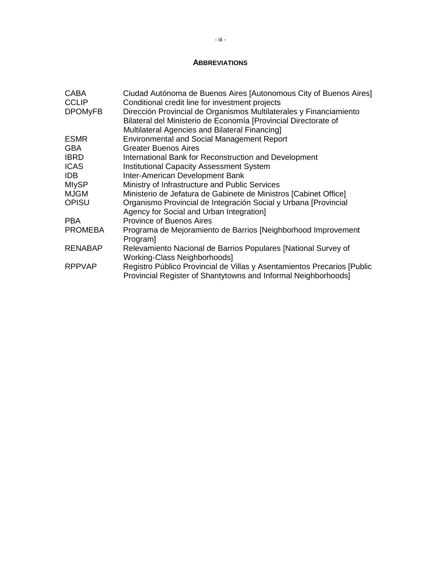### **ABBREVIATIONS**

| <b>CABA</b><br><b>CCLIP</b> | Ciudad Autónoma de Buenos Aires [Autonomous City of Buenos Aires]<br>Conditional credit line for investment projects                                                                    |
|-----------------------------|-----------------------------------------------------------------------------------------------------------------------------------------------------------------------------------------|
| <b>DPOMyFB</b>              | Dirección Provincial de Organismos Multilaterales y Financiamiento<br>Bilateral del Ministerio de Economía [Provincial Directorate of<br>Multilateral Agencies and Bilateral Financing] |
| <b>ESMR</b>                 | <b>Environmental and Social Management Report</b>                                                                                                                                       |
| <b>GBA</b>                  | <b>Greater Buenos Aires</b>                                                                                                                                                             |
| <b>IBRD</b>                 | International Bank for Reconstruction and Development                                                                                                                                   |
| <b>ICAS</b>                 | <b>Institutional Capacity Assessment System</b>                                                                                                                                         |
| IDB.                        | Inter-American Development Bank                                                                                                                                                         |
| <b>MIySP</b>                | Ministry of Infrastructure and Public Services                                                                                                                                          |
| <b>MJGM</b>                 | Ministerio de Jefatura de Gabinete de Ministros [Cabinet Office]                                                                                                                        |
| <b>OPISU</b>                | Organismo Provincial de Integración Social y Urbana [Provincial<br>Agency for Social and Urban Integration]                                                                             |
| <b>PBA</b>                  | <b>Province of Buenos Aires</b>                                                                                                                                                         |
| <b>PROMEBA</b>              | Programa de Mejoramiento de Barrios [Neighborhood Improvement<br>Program]                                                                                                               |
| <b>RENABAP</b>              | Relevamiento Nacional de Barrios Populares [National Survey of<br>Working-Class Neighborhoods]                                                                                          |
| <b>RPPVAP</b>               | Registro Público Provincial de Villas y Asentamientos Precarios [Public<br>Provincial Register of Shantytowns and Informal Neighborhoods]                                               |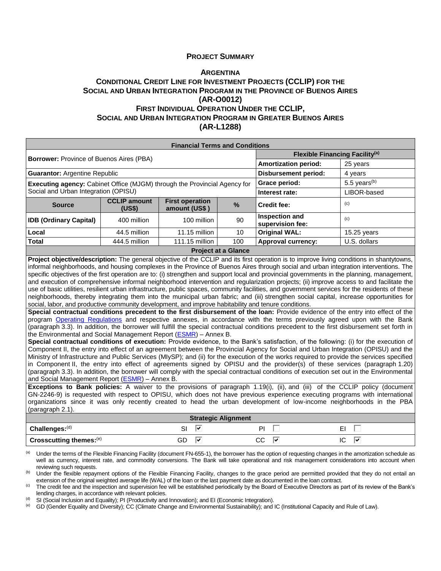#### **PROJECT SUMMARY**

### **A[RGENTINA](#page-0-0) CONDITIONAL CREDIT LINE FOR INVESTMENT PROJECTS (CCLIP) FOR THE SOCIAL AND URBAN INTEGRATION PROGRAM IN THE PROVINCE OF BUENOS AIRES (AR-O0012) FIRST INDIVIDUAL OPERATION UNDER THE CCLIP, SOCIAL AND URBAN INTEGRATION PROGRAM IN GREATER BUENOS AIRES**

**(AR-L1288)**

| <b>Financial Terms and Conditions</b>                                                                                                     |                               |                                         |                                            |                                    |                 |  |
|-------------------------------------------------------------------------------------------------------------------------------------------|-------------------------------|-----------------------------------------|--------------------------------------------|------------------------------------|-----------------|--|
|                                                                                                                                           |                               |                                         | Flexible Financing Facility <sup>(a)</sup> |                                    |                 |  |
| <b>Borrower: Province of Buenos Aires (PBA)</b>                                                                                           |                               |                                         |                                            | <b>Amortization period:</b>        | 25 years        |  |
| <b>Guarantor: Argentine Republic</b>                                                                                                      |                               |                                         |                                            | <b>Disbursement period:</b>        | 4 years         |  |
| <b>Executing agency:</b> Cabinet Office (MJGM) through the Provincial Agency for                                                          |                               |                                         |                                            | Grace period:                      | 5.5 years $(b)$ |  |
| Social and Urban Integration (OPISU)                                                                                                      |                               |                                         |                                            | Interest rate:                     | LIBOR-based     |  |
| <b>Source</b>                                                                                                                             | <b>CCLIP amount</b><br>(US\$) | <b>First operation</b><br>amount (US\$) | $\frac{0}{0}$                              | <b>Credit fee:</b>                 | (c)             |  |
| <b>IDB (Ordinary Capital)</b>                                                                                                             | 400 million                   | 100 million                             | 90                                         | Inspection and<br>supervision fee: | (c)             |  |
| Local                                                                                                                                     | 44.5 million                  | 11.15 million                           | 10                                         | <b>Original WAL:</b>               | $15.25$ years   |  |
| <b>Total</b><br>111.15 million<br>444.5 million                                                                                           |                               | 100                                     | <b>Approval currency:</b>                  | U.S. dollars                       |                 |  |
| <b>Project at a Glance</b>                                                                                                                |                               |                                         |                                            |                                    |                 |  |
| Project objective/description: The general objective of the CCLIP and its first operation is to improve living conditions in shantytowns, |                               |                                         |                                            |                                    |                 |  |

informal neighborhoods, and housing complexes in the Province of Buenos Aires through social and urban integration interventions. The specific objectives of the first operation are to: (i) strengthen and support local and provincial governments in the planning, management, and execution of comprehensive informal neighborhood intervention and regularization projects; (ii) improve access to and facilitate the use of basic utilities, resilient urban infrastructure, public spaces, community facilities, and government services for the residents of these neighborhoods, thereby integrating them into the municipal urban fabric; and (iii) strengthen social capital, increase opportunities for social, labor, and productive community development, and improve habitability and tenure conditions.

**Special contractual conditions precedent to the first disbursement of the loan:** Provide evidence of the entry into effect of the program [Operating Regulations](http://idbdocs.iadb.org/wsdocs/getDocument.aspx?DOCNUM=EZSHARE-886698046-34) and respective annexes, in accordance with the terms previously agreed upon with the Bank (paragraph 3.3). In addition, the borrower will fulfill the special contractual conditions precedent to the first disbursement set forth in the Environmental and Social Management Report [\(ESMR\)](http://idbdocs.iadb.org/wsdocs/getDocument.aspx?DOCNUM=EZSHARE-886698046-27) – Annex B.

**Special contractual conditions of execution:** Provide evidence, to the Bank's satisfaction, of the following: (i) for the execution of Component II, the entry into effect of an agreement between the Provincial Agency for Social and Urban Integration (OPISU) and the Ministry of Infrastructure and Public Services (MIySP); and (ii) for the execution of the works required to provide the services specified in Component II, the entry into effect of agreements signed by OPISU and the provider(s) of these services (paragraph 1.20) (paragraph 3.3). In addition, the borrower will comply with the special contractual conditions of execution set out in the Environmental and Social Management Report (**ESMR**) - Annex B.

**Exceptions to Bank policies:** A waiver to the provisions of paragraph 1.19(i), (ii), and (iii) of the CCLIP policy (document GN-2246-9) is requested with respect to OPISU, which does not have previous experience executing programs with international organizations since it was only recently created to head the urban development of low-income neighborhoods in the PBA (paragraph 2.1).

|                                     |    |      | <b>Strategic Alignment</b> |   |    |
|-------------------------------------|----|------|----------------------------|---|----|
| $Challenges: (d)$                   | SI | -150 |                            |   | -  |
| Crosscutting themes: <sup>(e)</sup> | GD | w    | ~~<br>UU                   | ₩ | IC |

Under the terms of the Flexible Financing Facility (document FN-655-1), the borrower has the option of requesting changes in the amortization schedule as well as currency, interest rate, and commodity conversions. The Bank will take operational and risk management considerations into account when reviewing such requests.

<sup>(b)</sup> Under the flexible repayment options of the Flexible Financing Facility, changes to the grace period are permitted provided that they do not entail an extension of the original weighted average life (WAL) of the loan or the last payment date as documented in the loan contract.

The credit fee and the inspection and supervision fee will be established periodically by the Board of Executive Directors as part of its review of the Bank's lending charges, in accordance with relevant policies.

(d) SI (Social Inclusion and Equality); PI (Productivity and Innovation); and EI (Economic Integration).<br>(e) GD (Gender Equality and Diversity); CC (Climate Change and Environmental Sustainability); and

(e) GD (Gender Equality and Diversity); CC (Climate Change and Environmental Sustainability); and IC (Institutional Capacity and Rule of Law).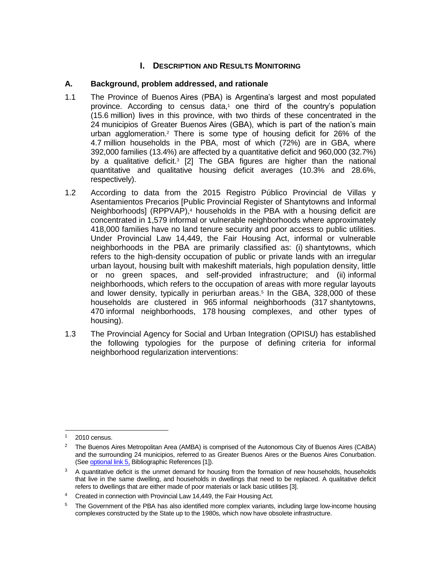# **I.** DESCRIPTION AND RESULTS MONITORING

## **A. Background, problem addressed, and rationale**

- 1.1 The Province of Buenos Aires (PBA) is Argentina's largest and most populated province. According to census data,<sup>1</sup> one third of the country's population (15.6 million) lives in this province, with two thirds of these concentrated in the 24 municipios of Greater Buenos Aires (GBA), which is part of the nation's main urban agglomeration.<sup>2</sup> There is some type of housing deficit for 26% of the 4.7 million households in the PBA, most of which (72%) are in GBA, where 392,000 families (13.4%) are affected by a quantitative deficit and 960,000 (32.7%) by a qualitative deficit. 3 [2] The GBA figures are higher than the national quantitative and qualitative housing deficit averages (10.3% and 28.6%, respectively).
- 1.2 According to data from the 2015 Registro Público Provincial de Villas y Asentamientos Precarios [Public Provincial Register of Shantytowns and Informal Neighborhoods] (RPPVAP),<sup>4</sup> households in the PBA with a housing deficit are concentrated in 1,579 informal or vulnerable neighborhoods where approximately 418,000 families have no land tenure security and poor access to public utilities. Under Provincial Law 14,449, the Fair Housing Act, informal or vulnerable neighborhoods in the PBA are primarily classified as: (i) shantytowns, which refers to the high-density occupation of public or private lands with an irregular urban layout, housing built with makeshift materials, high population density, little or no green spaces, and self-provided infrastructure; and (ii) informal neighborhoods, which refers to the occupation of areas with more regular layouts and lower density, typically in periurban areas.<sup>5</sup> In the GBA, 328,000 of these households are clustered in 965 informal neighborhoods (317 shantytowns, 470 informal neighborhoods, 178 housing complexes, and other types of housing).
- 1.3 The Provincial Agency for Social and Urban Integration (OPISU) has established the following typologies for the purpose of defining criteria for informal neighborhood regularization interventions:

 2010 census.

<sup>&</sup>lt;sup>2</sup> The Buenos Aires Metropolitan Area (AMBA) is comprised of the Autonomous City of Buenos Aires (CABA) and the surrounding 24 municipios, referred to as Greater Buenos Aires or the Buenos Aires Conurbation. (See [optional link 5,](http://idbdocs.iadb.org/wsdocs/getDocument.aspx?DOCNUM=EZSHARE-886698046-7) Bibliographic References [1]).

 $3$  A quantitative deficit is the unmet demand for housing from the formation of new households, households that live in the same dwelling, and households in dwellings that need to be replaced. A qualitative deficit refers to dwellings that are either made of poor materials or lack basic utilities [3].

<sup>&</sup>lt;sup>4</sup> Created in connection with Provincial Law 14,449, the Fair Housing Act.

<sup>&</sup>lt;sup>5</sup> The Government of the PBA has also identified more complex variants, including large low-income housing complexes constructed by the State up to the 1980s, which now have obsolete infrastructure.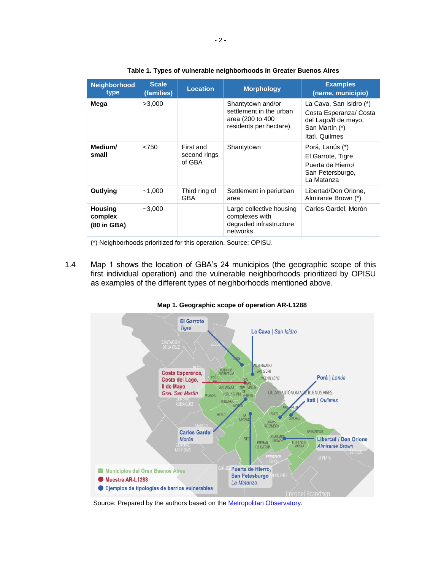| <b>Neighborhood</b><br>type              | <b>Scale</b><br>(families) | <b>Location</b>                     | <b>Morphology</b>                                                                          | <b>Examples</b><br>(name, municipio)                                                                         |
|------------------------------------------|----------------------------|-------------------------------------|--------------------------------------------------------------------------------------------|--------------------------------------------------------------------------------------------------------------|
| Mega                                     | >3,000                     |                                     | Shantytown and/or<br>settlement in the urban<br>area (200 to 400<br>residents per hectare) | La Cava, San Isidro (*)<br>Costa Esperanza/ Costa<br>del Lago/8 de mayo,<br>San Martín (*)<br>Itatí, Quilmes |
| Medium/<br>small                         | < 750                      | First and<br>second rings<br>of GBA | Shantytown                                                                                 | Porá, Lanús (*)<br>El Garrote, Tigre<br>Puerta de Hierro/<br>San Petersburgo,<br>La Matanza                  |
| Outlying                                 | ~1,000                     | Third ring of<br>GBA                | Settlement in periurban<br>area                                                            | Libertad/Don Orione,<br>Almirante Brown (*)                                                                  |
| <b>Housing</b><br>complex<br>(80 in GBA) | $-3,000$                   |                                     | Large collective housing<br>complexes with<br>degraded infrastructure<br>networks          | Carlos Gardel, Morón                                                                                         |

(\*) Neighborhoods prioritized for this operation. Source: OPISU.

1.4 Map 1 shows the location of GBA's 24 municipios (the geographic scope of this first individual operation) and the vulnerable neighborhoods prioritized by OPISU as examples of the different types of neighborhoods mentioned above.



**Map 1. Geographic scope of operation AR-L1288** 

Source: Prepared by the authors based on the **Metropolitan Observatory**.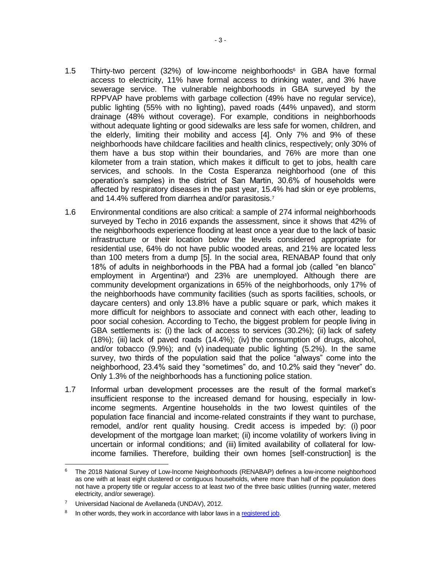- 1.5 Thirty-two percent (32%) of low-income neighborhoods<sup>6</sup> in GBA have formal access to electricity, 11% have formal access to drinking water, and 3% have sewerage service. The vulnerable neighborhoods in GBA surveyed by the RPPVAP have problems with garbage collection (49% have no regular service), public lighting (55% with no lighting), paved roads (44% unpaved), and storm drainage (48% without coverage). For example, conditions in neighborhoods without adequate lighting or good sidewalks are less safe for women, children, and the elderly, limiting their mobility and access [4]. Only 7% and 9% of these neighborhoods have childcare facilities and health clinics, respectively; only 30% of them have a bus stop within their boundaries, and 76% are more than one kilometer from a train station, which makes it difficult to get to jobs, health care services, and schools. In the Costa Esperanza neighborhood (one of this operation's samples) in the district of San Martin, 30.6% of households were affected by respiratory diseases in the past year, 15.4% had skin or eye problems, and 14.4% suffered from diarrhea and/or parasitosis.<sup>7</sup>
- 1.6 Environmental conditions are also critical: a sample of 274 informal neighborhoods surveyed by Techo in 2016 expands the assessment, since it shows that 42% of the neighborhoods experience flooding at least once a year due to the lack of basic infrastructure or their location below the levels considered appropriate for residential use, 64% do not have public wooded areas, and 21% are located less than 100 meters from a dump [5]. In the social area, RENABAP found that only 18% of adults in neighborhoods in the PBA had a formal job (called "en blanco" employment in Argentina<sup>8</sup>) and 23% are unemployed. Although there are community development organizations in 65% of the neighborhoods, only 17% of the neighborhoods have community facilities (such as sports facilities, schools, or daycare centers) and only 13.8% have a public square or park, which makes it more difficult for neighbors to associate and connect with each other, leading to poor social cohesion. According to Techo, the biggest problem for people living in GBA settlements is: (i) the lack of access to services (30.2%); (ii) lack of safety (18%); (iii) lack of paved roads (14.4%); (iv) the consumption of drugs, alcohol, and/or tobacco (9.9%); and (v) inadequate public lighting (5.2%). In the same survey, two thirds of the population said that the police "always" come into the neighborhood, 23.4% said they "sometimes" do, and 10.2% said they "never" do. Only 1.3% of the neighborhoods has a functioning police station.
- 1.7 Informal urban development processes are the result of the formal market's insufficient response to the increased demand for housing, especially in lowincome segments. Argentine households in the two lowest quintiles of the population face financial and income-related constraints if they want to purchase, remodel, and/or rent quality housing. Credit access is impeded by: (i) poor development of the mortgage loan market; (ii) income volatility of workers living in uncertain or informal conditions; and (iii) limited availability of collateral for lowincome families. Therefore, building their own homes [self-construction] is the

<sup>6</sup> The 2018 National Survey of Low-Income Neighborhoods (RENABAP) defines a low-income neighborhood as one with at least eight clustered or contiguous households, where more than half of the population does not have a property title or regular access to at least two of the three basic utilities (running water, metered electricity, and/or sewerage).

<sup>7</sup> Universidad Nacional de Avellaneda (UNDAV), 2012.

<sup>8</sup> In other words, they work in accordance with labor laws in [a registered job.](http://www.derechofacil.gob.ar/leysimple/trabajo-registrado/)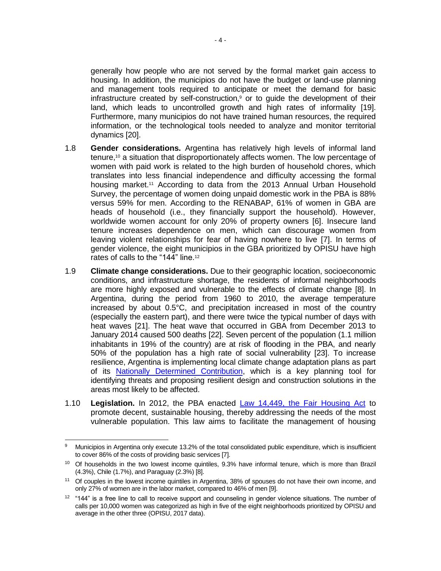generally how people who are not served by the formal market gain access to housing. In addition, the municipios do not have the budget or land-use planning and management tools required to anticipate or meet the demand for basic infrastructure created by self-construction, $9$  or to guide the development of their land, which leads to uncontrolled growth and high rates of informality [19]. Furthermore, many municipios do not have trained human resources, the required information, or the technological tools needed to analyze and monitor territorial dynamics [20].

- 1.8 **Gender considerations.** Argentina has relatively high levels of informal land tenure,<sup>10</sup> a situation that disproportionately affects women. The low percentage of women with paid work is related to the high burden of household chores, which translates into less financial independence and difficulty accessing the formal housing market.<sup>11</sup> According to data from the 2013 Annual Urban Household Survey, the percentage of women doing unpaid domestic work in the PBA is 88% versus 59% for men. According to the RENABAP, 61% of women in GBA are heads of household (i.e., they financially support the household). However, worldwide women account for only 20% of property owners [6]. Insecure land tenure increases dependence on men, which can discourage women from leaving violent relationships for fear of having nowhere to live [7]. In terms of gender violence, the eight municipios in the GBA prioritized by OPISU have high rates of calls to the "144" line. 12
- 1.9 **Climate change considerations.** Due to their geographic location, socioeconomic conditions, and infrastructure shortage, the residents of informal neighborhoods are more highly exposed and vulnerable to the effects of climate change [8]. In Argentina, during the period from 1960 to 2010, the average temperature increased by about 0.5°C, and precipitation increased in most of the country (especially the eastern part), and there were twice the typical number of days with heat waves [21]. The heat wave that occurred in GBA from December 2013 to January 2014 caused 500 deaths [22]. Seven percent of the population (1.1 million inhabitants in 19% of the country) are at risk of flooding in the PBA, and nearly 50% of the population has a high rate of social vulnerability [23]. To increase resilience, Argentina is implementing local climate change adaptation plans as part of its [Nationally Determined Contribution,](https://www4.unfccc.int/sites/ndcstaging/PublishedDocuments/Argentina%20First/17112016%20NDC%20Revisada%202016.pdf) which is a key planning tool for identifying threats and proposing resilient design and construction solutions in the areas most likely to be affected.
- 1.10 **Legislation.** In 2012, the PBA enacted [Law 14,449, the Fair Housing Act](http://www.gob.gba.gov.ar/legislacion/legislacion/l-14449.html) to promote decent, sustainable housing, thereby addressing the needs of the most vulnerable population. This law aims to facilitate the management of housing

 $\overline{a}$ Municipios in Argentina only execute 13.2% of the total consolidated public expenditure, which is insufficient to cover 86% of the costs of providing basic services [7].

<sup>&</sup>lt;sup>10</sup> Of households in the two lowest income quintiles, 9.3% have informal tenure, which is more than Brazil (4.3%), Chile (1.7%), and Paraguay (2.3%) [8].

<sup>11</sup> Of couples in the lowest income quintiles in Argentina, 38% of spouses do not have their own income, and only 27% of women are in the labor market, compared to 46% of men [9].

<sup>&</sup>lt;sup>12</sup> "144" is a free line to call to receive support and counseling in gender violence situations. The number of calls per 10,000 women was categorized as high in five of the eight neighborhoods prioritized by OPISU and average in the other three (OPISU, 2017 data).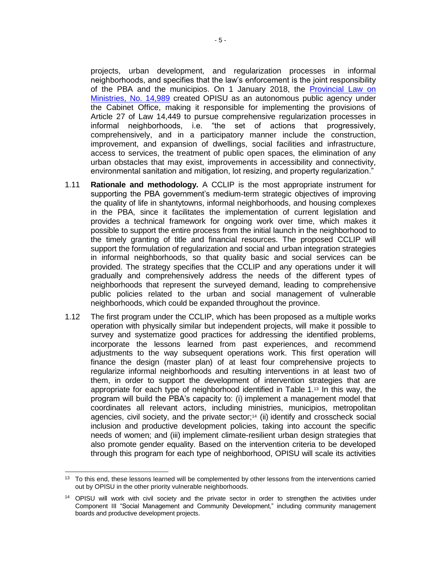projects, urban development, and regularization processes in informal neighborhoods, and specifies that the law's enforcement is the joint responsibility of the PBA and the municipios. On 1 January 2018, the [Provincial Law on](http://www.gob.gba.gov.ar/legislacion/legislacion/l-14989.html)  [Ministries, No. 14,989](http://www.gob.gba.gov.ar/legislacion/legislacion/l-14989.html) created OPISU as an autonomous public agency under the Cabinet Office, making it responsible for implementing the provisions of Article 27 of Law 14,449 to pursue comprehensive regularization processes in informal neighborhoods, i.e. "the set of actions that progressively, comprehensively, and in a participatory manner include the construction, improvement, and expansion of dwellings, social facilities and infrastructure, access to services, the treatment of public open spaces, the elimination of any urban obstacles that may exist, improvements in accessibility and connectivity, environmental sanitation and mitigation, lot resizing, and property regularization."

- 1.11 **Rationale and methodology.** A CCLIP is the most appropriate instrument for supporting the PBA government's medium-term strategic objectives of improving the quality of life in shantytowns, informal neighborhoods, and housing complexes in the PBA, since it facilitates the implementation of current legislation and provides a technical framework for ongoing work over time, which makes it possible to support the entire process from the initial launch in the neighborhood to the timely granting of title and financial resources. The proposed CCLIP will support the formulation of regularization and social and urban integration strategies in informal neighborhoods, so that quality basic and social services can be provided. The strategy specifies that the CCLIP and any operations under it will gradually and comprehensively address the needs of the different types of neighborhoods that represent the surveyed demand, leading to comprehensive public policies related to the urban and social management of vulnerable neighborhoods, which could be expanded throughout the province.
- 1.12 The first program under the CCLIP, which has been proposed as a multiple works operation with physically similar but independent projects, will make it possible to survey and systematize good practices for addressing the identified problems, incorporate the lessons learned from past experiences, and recommend adjustments to the way subsequent operations work. This first operation will finance the design (master plan) of at least four comprehensive projects to regularize informal neighborhoods and resulting interventions in at least two of them, in order to support the development of intervention strategies that are appropriate for each type of neighborhood identified in Table 1.<sup>13</sup> In this way, the program will build the PBA's capacity to: (i) implement a management model that coordinates all relevant actors, including ministries, municipios, metropolitan agencies, civil society, and the private sector;<sup>14</sup> (ii) identify and crosscheck social inclusion and productive development policies, taking into account the specific needs of women; and (iii) implement climate-resilient urban design strategies that also promote gender equality. Based on the intervention criteria to be developed through this program for each type of neighborhood, OPISU will scale its activities

 <sup>13</sup> To this end, these lessons learned will be complemented by other lessons from the interventions carried out by OPISU in the other priority vulnerable neighborhoods.

<sup>&</sup>lt;sup>14</sup> OPISU will work with civil society and the private sector in order to strengthen the activities under Component III "Social Management and Community Development," including community management boards and productive development projects.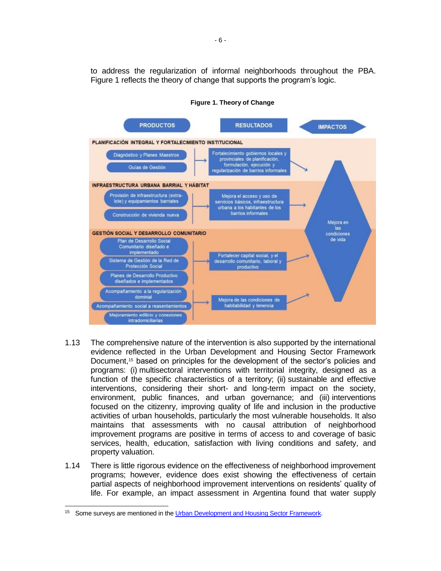to address the regularization of informal neighborhoods throughout the PBA. Figure 1 reflects the theory of change that supports the program's logic.



**Figure 1. Theory of Change**

- 1.13 The comprehensive nature of the intervention is also supported by the international evidence reflected in the Urban Development and Housing Sector Framework Document,<sup>15</sup> based on principles for the development of the sector's policies and programs: (i) multisectoral interventions with territorial integrity, designed as a function of the specific characteristics of a territory; (ii) sustainable and effective interventions, considering their short- and long-term impact on the society, environment, public finances, and urban governance; and (iii) interventions focused on the citizenry, improving quality of life and inclusion in the productive activities of urban households, particularly the most vulnerable households. It also maintains that assessments with no causal attribution of neighborhood improvement programs are positive in terms of access to and coverage of basic services, health, education, satisfaction with living conditions and safety, and property valuation.
- 1.14 There is little rigorous evidence on the effectiveness of neighborhood improvement programs; however, evidence does exist showing the effectiveness of certain partial aspects of neighborhood improvement interventions on residents' quality of life. For example, an impact assessment in Argentina found that water supply

<sup>&</sup>lt;sup>15</sup> Some surveys are mentioned in th[e Urban Development and Housing Sector Framework.](https://www.iadb.org/es/sectores/desarrollo-urbano-y-vivienda/marco-sectorial)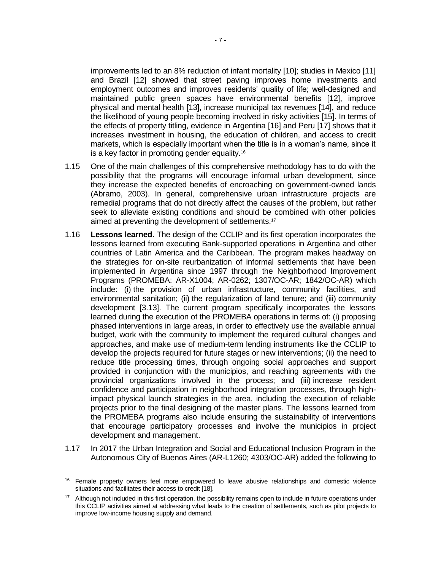improvements led to an 8% reduction of infant mortality [10]; studies in Mexico [11] and Brazil [12] showed that street paving improves home investments and employment outcomes and improves residents' quality of life; well-designed and maintained public green spaces have environmental benefits [12], improve physical and mental health [13], increase municipal tax revenues [14], and reduce the likelihood of young people becoming involved in risky activities [15]. In terms of the effects of property titling, evidence in Argentina [16] and Peru [17] shows that it increases investment in housing, the education of children, and access to credit markets, which is especially important when the title is in a woman's name, since it is a key factor in promoting gender equality.<sup>16</sup>

- 1.15 One of the main challenges of this comprehensive methodology has to do with the possibility that the programs will encourage informal urban development, since they increase the expected benefits of encroaching on government-owned lands (Abramo, 2003). In general, comprehensive urban infrastructure projects are remedial programs that do not directly affect the causes of the problem, but rather seek to alleviate existing conditions and should be combined with other policies aimed at preventing the development of settlements.<sup>17</sup>
- 1.16 **Lessons learned.** The design of the CCLIP and its first operation incorporates the lessons learned from executing Bank-supported operations in Argentina and other countries of Latin America and the Caribbean. The program makes headway on the strategies for on-site reurbanization of informal settlements that have been implemented in Argentina since 1997 through the Neighborhood Improvement Programs (PROMEBA: AR-X1004; AR-0262; 1307/OC-AR; 1842/OC-AR) which include: (i) the provision of urban infrastructure, community facilities, and environmental sanitation; (ii) the regularization of land tenure; and (iii) community development [3.13]. The current program specifically incorporates the lessons learned during the execution of the PROMEBA operations in terms of: (i) proposing phased interventions in large areas, in order to effectively use the available annual budget, work with the community to implement the required cultural changes and approaches, and make use of medium-term lending instruments like the CCLIP to develop the projects required for future stages or new interventions; (ii) the need to reduce title processing times, through ongoing social approaches and support provided in conjunction with the municipios, and reaching agreements with the provincial organizations involved in the process; and (iii) increase resident confidence and participation in neighborhood integration processes, through highimpact physical launch strategies in the area, including the execution of reliable projects prior to the final designing of the master plans. The lessons learned from the PROMEBA programs also include ensuring the sustainability of interventions that encourage participatory processes and involve the municipios in project development and management.
- 1.17 In 2017 the Urban Integration and Social and Educational Inclusion Program in the Autonomous City of Buenos Aires (AR-L1260; 4303/OC-AR) added the following to

 <sup>16</sup> Female property owners feel more empowered to leave abusive relationships and domestic violence situations and facilitates their access to credit [18].

<sup>&</sup>lt;sup>17</sup> Although not included in this first operation, the possibility remains open to include in future operations under this CCLIP activities aimed at addressing what leads to the creation of settlements, such as pilot projects to improve low-income housing supply and demand.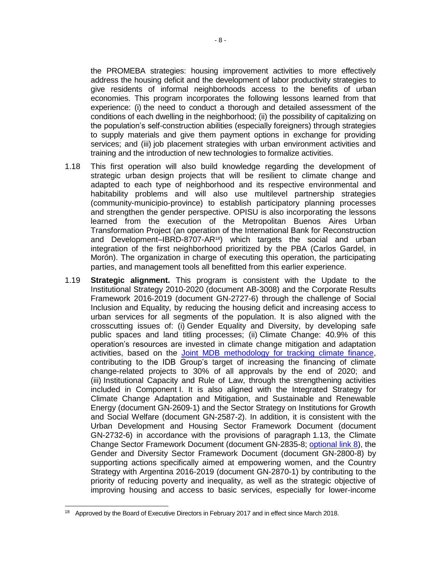the PROMEBA strategies: housing improvement activities to more effectively address the housing deficit and the development of labor productivity strategies to give residents of informal neighborhoods access to the benefits of urban economies. This program incorporates the following lessons learned from that experience: (i) the need to conduct a thorough and detailed assessment of the conditions of each dwelling in the neighborhood; (ii) the possibility of capitalizing on the population's self-construction abilities (especially foreigners) through strategies to supply materials and give them payment options in exchange for providing services; and (iii) job placement strategies with urban environment activities and training and the introduction of new technologies to formalize activities.

- 1.18 This first operation will also build knowledge regarding the development of strategic urban design projects that will be resilient to climate change and adapted to each type of neighborhood and its respective environmental and habitability problems and will also use multilevel partnership strategies (community-municipio-province) to establish participatory planning processes and strengthen the gender perspective. OPISU is also incorporating the lessons learned from the execution of the Metropolitan Buenos Aires Urban Transformation Project (an operation of the International Bank for Reconstruction and Development–IBRD-8707-AR18) which targets the social and urban integration of the first neighborhood prioritized by the PBA (Carlos Gardel, in Morón). The organization in charge of executing this operation, the participating parties, and management tools all benefitted from this earlier experience.
- 1.19 **Strategic alignment.** This program is consistent with the Update to the Institutional Strategy 2010-2020 (document AB-3008) and the Corporate Results Framework 2016-2019 (document GN-2727-6) through the challenge of Social Inclusion and Equality, by reducing the housing deficit and increasing access to urban services for all segments of the population. It is also aligned with the crosscutting issues of: (i) Gender Equality and Diversity, by developing safe public spaces and land titling processes; (ii) Climate Change: 40.9% of this operation's resources are invested in climate change mitigation and adaptation activities, based on the [Joint MDB methodology for tracking climate finance,](https://publications.iadb.org/handle/11319/9163) contributing to the IDB Group's target of increasing the financing of climate change-related projects to 30% of all approvals by the end of 2020; and (iii) Institutional Capacity and Rule of Law, through the strengthening activities included in Component I. It is also aligned with the Integrated Strategy for Climate Change Adaptation and Mitigation, and Sustainable and Renewable Energy (document GN-2609-1) and the Sector Strategy on Institutions for Growth and Social Welfare (document GN-2587-2). In addition, it is consistent with the Urban Development and Housing Sector Framework Document (document GN-2732-6) in accordance with the provisions of paragraph 1.13, the Climate Change Sector Framework Document (document GN-2835-8; [optional link 8\)](http://idbdocs.iadb.org/wsdocs/getDocument.aspx?DOCNUM=EZSHARE-886698046-29), the Gender and Diversity Sector Framework Document (document GN-2800-8) by supporting actions specifically aimed at empowering women, and the Country Strategy with Argentina 2016-2019 (document GN-2870-1) by contributing to the priority of reducing poverty and inequality, as well as the strategic objective of improving housing and access to basic services, especially for lower-income

<sup>&</sup>lt;sup>18</sup> Approved by the Board of Executive Directors in February 2017 and in effect since March 2018.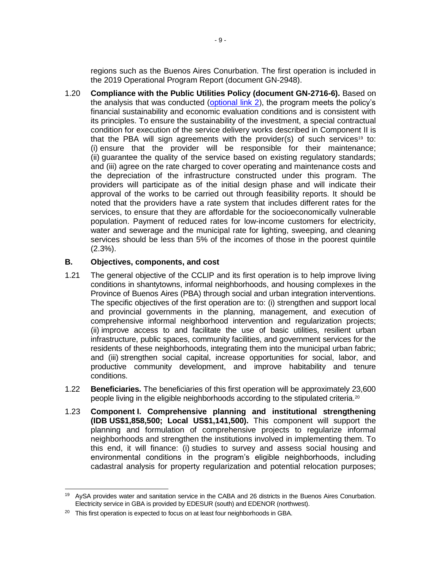regions such as the Buenos Aires Conurbation. The first operation is included in the 2019 Operational Program Report (document GN-2948).

1.20 **Compliance with the Public Utilities Policy (document GN-2716-6).** Based on the analysis that was conducted ( $optional link 2$ ), the program meets the policy's financial sustainability and economic evaluation conditions and is consistent with its principles. To ensure the sustainability of the investment, a special contractual condition for execution of the service delivery works described in Component II is that the PBA will sign agreements with the provider(s) of such services<sup>19</sup> to: (i) ensure that the provider will be responsible for their maintenance; (ii) guarantee the quality of the service based on existing regulatory standards; and (iii) agree on the rate charged to cover operating and maintenance costs and the depreciation of the infrastructure constructed under this program. The providers will participate as of the initial design phase and will indicate their approval of the works to be carried out through feasibility reports. It should be noted that the providers have a rate system that includes different rates for the services, to ensure that they are affordable for the socioeconomically vulnerable population. Payment of reduced rates for low-income customers for electricity, water and sewerage and the municipal rate for lighting, sweeping, and cleaning services should be less than 5% of the incomes of those in the poorest quintile (2.3%).

### **B. Objectives, components, and cost**

- 1.21 The general objective of the CCLIP and its first operation is to help improve living conditions in shantytowns, informal neighborhoods, and housing complexes in the Province of Buenos Aires (PBA) through social and urban integration interventions. The specific objectives of the first operation are to: (i) strengthen and support local and provincial governments in the planning, management, and execution of comprehensive informal neighborhood intervention and regularization projects; (ii) improve access to and facilitate the use of basic utilities, resilient urban infrastructure, public spaces, community facilities, and government services for the residents of these neighborhoods, integrating them into the municipal urban fabric; and (iii) strengthen social capital, increase opportunities for social, labor, and productive community development, and improve habitability and tenure conditions.
- 1.22 **Beneficiaries.** The beneficiaries of this first operation will be approximately 23,600 people living in the eligible neighborhoods according to the stipulated criteria.<sup>20</sup>
- 1.23 **Component I. Comprehensive planning and institutional strengthening (IDB US\$1,858,500; Local US\$1,141,500).** This component will support the planning and formulation of comprehensive projects to regularize informal neighborhoods and strengthen the institutions involved in implementing them. To this end, it will finance: (i) studies to survey and assess social housing and environmental conditions in the program's eligible neighborhoods, including cadastral analysis for property regularization and potential relocation purposes;

 <sup>19</sup> AySA provides water and sanitation service in the CABA and 26 districts in the Buenos Aires Conurbation. Electricity service in GBA is provided by EDESUR (south) and EDENOR (northwest).

 $20$  This first operation is expected to focus on at least four neighborhoods in GBA.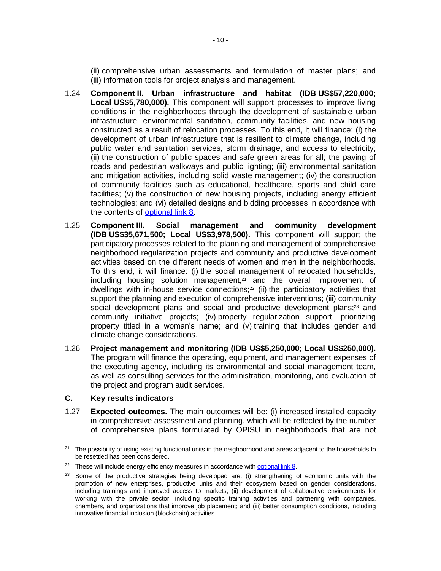(ii) comprehensive urban assessments and formulation of master plans; and (iii) information tools for project analysis and management.

- 1.24 **Component II. Urban infrastructure and habitat (IDB US\$57,220,000; Local US\$5,780,000).** This component will support processes to improve living conditions in the neighborhoods through the development of sustainable urban infrastructure, environmental sanitation, community facilities, and new housing constructed as a result of relocation processes. To this end, it will finance: (i) the development of urban infrastructure that is resilient to climate change, including public water and sanitation services, storm drainage, and access to electricity; (ii) the construction of public spaces and safe green areas for all; the paving of roads and pedestrian walkways and public lighting; (iii) environmental sanitation and mitigation activities, including solid waste management; (iv) the construction of community facilities such as educational, healthcare, sports and child care facilities; (v) the construction of new housing projects, including energy efficient technologies; and (vi) detailed designs and bidding processes in accordance with the contents of [optional link 8.](http://idbdocs.iadb.org/wsdocs/getDocument.aspx?DOCNUM=EZSHARE-886698046-29)
- 1.25 **Component III. Social management and community development (IDB US\$35,671,500; Local US\$3,978,500).** This component will support the participatory processes related to the planning and management of comprehensive neighborhood regularization projects and community and productive development activities based on the different needs of women and men in the neighborhoods. To this end, it will finance: (i) the social management of relocated households, including housing solution management, $21$  and the overall improvement of dwellings with in-house service connections;<sup>22</sup> (ii) the participatory activities that support the planning and execution of comprehensive interventions; (iii) community social development plans and social and productive development plans;<sup>23</sup> and community initiative projects; (iv) property regularization support, prioritizing property titled in a woman's name; and (v) training that includes gender and climate change considerations.
- 1.26 **Project management and monitoring (IDB US\$5,250,000; Local US\$250,000).** The program will finance the operating, equipment, and management expenses of the executing agency, including its environmental and social management team, as well as consulting services for the administration, monitoring, and evaluation of the project and program audit services.

#### **C. Key results indicators**

 $\overline{a}$ 

1.27 **Expected outcomes.** The main outcomes will be: (i) increased installed capacity in comprehensive assessment and planning, which will be reflected by the number of comprehensive plans formulated by OPISU in neighborhoods that are not

 $21$  The possibility of using existing functional units in the neighborhood and areas adjacent to the households to be resettled has been considered.

<sup>&</sup>lt;sup>22</sup> These will include energy efficiency measures in accordance wit[h optional link 8.](http://idbdocs.iadb.org/wsdocs/getDocument.aspx?DOCNUM=EZSHARE-886698046-29)

<sup>&</sup>lt;sup>23</sup> Some of the productive strategies being developed are: (i) strengthening of economic units with the promotion of new enterprises, productive units and their ecosystem based on gender considerations, including trainings and improved access to markets; (ii) development of collaborative environments for working with the private sector, including specific training activities and partnering with companies, chambers, and organizations that improve job placement; and (iii) better consumption conditions, including innovative financial inclusion (blockchain) activities.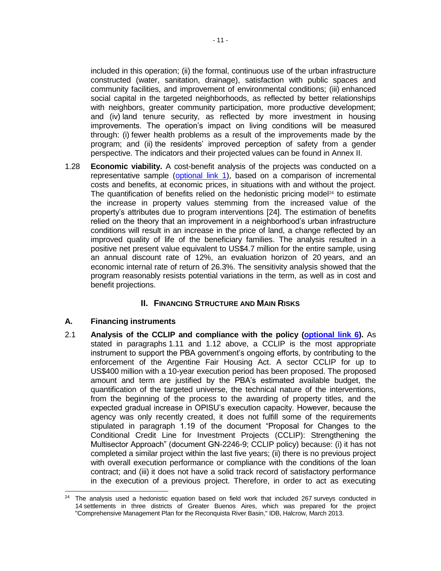included in this operation; (ii) the formal, continuous use of the urban infrastructure constructed (water, sanitation, drainage), satisfaction with public spaces and community facilities, and improvement of environmental conditions; (iii) enhanced social capital in the targeted neighborhoods, as reflected by better relationships with neighbors, greater community participation, more productive development; and (iv) land tenure security, as reflected by more investment in housing improvements. The operation's impact on living conditions will be measured through: (i) fewer health problems as a result of the improvements made by the program; and (ii) the residents' improved perception of safety from a gender perspective. The indicators and their projected values can be found in Annex II.

1.28 **Economic viability.** A cost-benefit analysis of the projects was conducted on a representative sample [\(optional](http://idbdocs.iadb.org/wsdocs/getDocument.aspx?DOCNUM=EZSHARE-886698046-31) link 1), based on a comparison of incremental costs and benefits, at economic prices, in situations with and without the project. The quantification of benefits relied on the hedonistic pricing model $24$  to estimate the increase in property values stemming from the increased value of the property's attributes due to program interventions [24]. The estimation of benefits relied on the theory that an improvement in a neighborhood's urban infrastructure conditions will result in an increase in the price of land, a change reflected by an improved quality of life of the beneficiary families. The analysis resulted in a positive net present value equivalent to US\$4.7 million for the entire sample, using an annual discount rate of 12%, an evaluation horizon of 20 years, and an economic internal rate of return of 26.3%. The sensitivity analysis showed that the program reasonably resists potential variations in the term, as well as in cost and benefit projections.

# **II. FINANCING STRUCTURE AND MAIN RISKS**

# **A. Financing instruments**

2.1 **Analysis of the CCLIP and compliance with the policy [\(optional link 6\)](http://idbdocs.iadb.org/wsdocs/getDocument.aspx?DOCNUM=EZSHARE-886698046-33).** As stated in paragraphs 1.11 and 1.12 above, a CCLIP is the most appropriate instrument to support the PBA government's ongoing efforts, by contributing to the enforcement of the Argentine Fair Housing Act. A sector CCLIP for up to US\$400 million with a 10-year execution period has been proposed. The proposed amount and term are justified by the PBA's estimated available budget, the quantification of the targeted universe, the technical nature of the interventions, from the beginning of the process to the awarding of property titles, and the expected gradual increase in OPISU's execution capacity. However, because the agency was only recently created, it does not fulfill some of the requirements stipulated in paragraph 1.19 of the document "Proposal for Changes to the Conditional Credit Line for Investment Projects (CCLIP): Strengthening the Multisector Approach" (document GN-2246-9; CCLIP policy) because: (i) it has not completed a similar project within the last five years; (ii) there is no previous project with overall execution performance or compliance with the conditions of the loan contract; and (iii) it does not have a solid track record of satisfactory performance in the execution of a previous project. Therefore, in order to act as executing

 <sup>24</sup> The analysis used a hedonistic equation based on field work that included 267 surveys conducted in 14 settlements in three districts of Greater Buenos Aires, which was prepared for the project "Comprehensive Management Plan for the Reconquista River Basin," IDB, Halcrow, March 2013.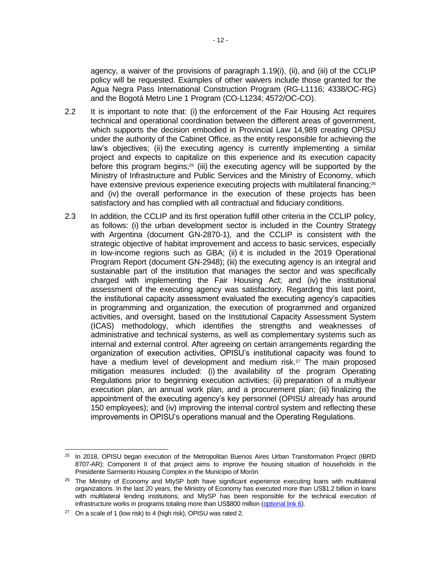agency, a waiver of the provisions of paragraph 1.19(i), (ii), and (iii) of the CCLIP policy will be requested. Examples of other waivers include those granted for the Agua Negra Pass International Construction Program (RG-L1116; 4338/OC-RG) and the Bogotá Metro Line 1 Program (CO-L1234; 4572/OC-CO).

- 2.2 It is important to note that: (i) the enforcement of the Fair Housing Act requires technical and operational coordination between the different areas of government, which supports the decision embodied in Provincial Law 14,989 creating OPISU under the authority of the Cabinet Office, as the entity responsible for achieving the law's objectives; (ii) the executing agency is currently implementing a similar project and expects to capitalize on this experience and its execution capacity before this program begins;<sup>25</sup> (iii) the executing agency will be supported by the Ministry of Infrastructure and Public Services and the Ministry of Economy, which have extensive previous experience executing projects with multilateral financing;<sup>26</sup> and (iv) the overall performance in the execution of these projects has been satisfactory and has complied with all contractual and fiduciary conditions.
- 2.3 In addition, the CCLIP and its first operation fulfill other criteria in the CCLIP policy, as follows: (i) the urban development sector is included in the Country Strategy with Argentina (document GN-2870-1), and the CCLIP is consistent with the strategic objective of habitat improvement and access to basic services, especially in low-income regions such as GBA; (ii) it is included in the 2019 Operational Program Report (document GN-2948); (iii) the executing agency is an integral and sustainable part of the institution that manages the sector and was specifically charged with implementing the Fair Housing Act; and (iv) the institutional assessment of the executing agency was satisfactory. Regarding this last point, the institutional capacity assessment evaluated the executing agency's capacities in programming and organization, the execution of programmed and organized activities, and oversight, based on the Institutional Capacity Assessment System (ICAS) methodology, which identifies the strengths and weaknesses of administrative and technical systems, as well as complementary systems such as internal and external control. After agreeing on certain arrangements regarding the organization of execution activities, OPISU's institutional capacity was found to have a medium level of development and medium risk.<sup>27</sup> The main proposed mitigation measures included: (i) the availability of the program Operating Regulations prior to beginning execution activities; (ii) preparation of a multiyear execution plan, an annual work plan, and a procurement plan; (iii) finalizing the appointment of the executing agency's key personnel (OPISU already has around 150 employees); and (iv) improving the internal control system and reflecting these improvements in OPISU's operations manual and the Operating Regulations.

 <sup>25</sup> In 2018, OPISU began execution of the Metropolitan Buenos Aires Urban Transformation Project (IBRD 8707-AR); Component II of that project aims to improve the housing situation of households in the Presidente Sarmiento Housing Complex in the Municipio of Morón.

<sup>&</sup>lt;sup>26</sup> The Ministry of Economy and MIySP both have significant experience executing loans with multilateral organizations. In the last 20 years, the Ministry of Economy has executed more than US\$1.2 billion in loans with multilateral lending institutions, and MIySP has been responsible for the technical execution of infrastructure works in programs totaling more than US\$800 million [\(optional](http://idbdocs.iadb.org/wsdocs/getDocument.aspx?DOCNUM=EZSHARE-886698046-33) link  $6$ ).

 $27$  On a scale of 1 (low risk) to 4 (high risk), OPISU was rated 2.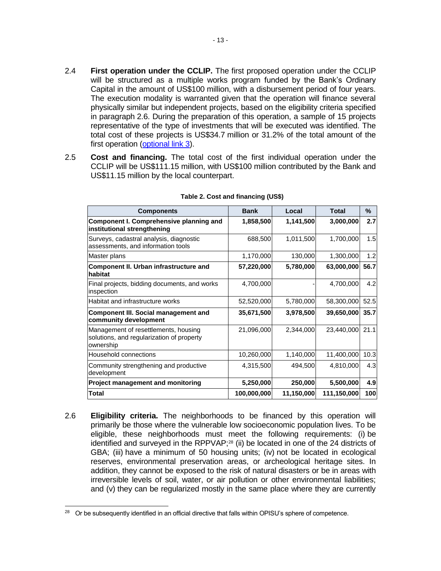- 2.4 **First operation under the CCLIP.** The first proposed operation under the CCLIP will be structured as a multiple works program funded by the Bank's Ordinary Capital in the amount of US\$100 million, with a disbursement period of four years. The execution modality is warranted given that the operation will finance several physically similar but independent projects, based on the eligibility criteria specified in paragraph 2.6. During the preparation of this operation, a sample of 15 projects representative of the type of investments that will be executed was identified. The total cost of these projects is US\$34.7 million or 31.2% of the total amount of the first operation [\(optional link 3\)](http://idbdocs.iadb.org/wsdocs/getDocument.aspx?DOCNUM=EZSHARE-886698046-38).
- 2.5 **Cost and financing.** The total cost of the first individual operation under the CCLIP will be US\$111.15 million, with US\$100 million contributed by the Bank and US\$11.15 million by the local counterpart.

| <b>Components</b>                                                                              | <b>Bank</b> | Local      | <b>Total</b> | ℅    |
|------------------------------------------------------------------------------------------------|-------------|------------|--------------|------|
| <b>Component I. Comprehensive planning and</b><br>institutional strengthening                  | 1,858,500   | 1,141,500  | 3,000,000    | 2.7  |
| Surveys, cadastral analysis, diagnostic<br>assessments, and information tools                  | 688,500     | 1,011,500  | 1,700,000    | 1.5  |
| Master plans                                                                                   | 1,170,000   | 130,000    | 1,300,000    | 1.2  |
| Component II. Urban infrastructure and<br>habitat                                              | 57,220,000  | 5,780,000  | 63,000,000   | 56.7 |
| Final projects, bidding documents, and works<br>inspection                                     | 4,700,000   |            | 4,700,000    | 4.2  |
| Habitat and infrastructure works                                                               | 52,520,000  | 5,780,000  | 58,300,000   | 52.5 |
| <b>Component III. Social management and</b><br>community development                           | 35,671,500  | 3,978,500  | 39,650,000   | 35.7 |
| Management of resettlements, housing<br>solutions, and regularization of property<br>ownership | 21,096,000  | 2,344,000  | 23,440,000   | 21.1 |
| Household connections                                                                          | 10,260,000  | 1,140,000  | 11,400,000   | 10.3 |
| Community strengthening and productive<br>development                                          | 4,315,500   | 494,500    | 4,810,000    | 4.3  |
| Project management and monitoring                                                              | 5,250,000   | 250,000    | 5,500,000    | 4.9  |
| <b>Total</b>                                                                                   | 100,000,000 | 11,150,000 | 111,150,000  | 100  |

#### **Table 2. Cost and financing (US\$)**

2.6 **Eligibility criteria.** The neighborhoods to be financed by this operation will primarily be those where the vulnerable low socioeconomic population lives. To be eligible, these neighborhoods must meet the following requirements: (i) be identified and surveyed in the RPPVAP;<sup>28</sup> (ii) be located in one of the 24 districts of GBA; (iii) have a minimum of 50 housing units; (iv) not be located in ecological reserves, environmental preservation areas, or archeological heritage sites. In addition, they cannot be exposed to the risk of natural disasters or be in areas with irreversible levels of soil, water, or air pollution or other environmental liabilities; and (v) they can be regularized mostly in the same place where they are currently

<sup>&</sup>lt;sup>28</sup> Or be subsequently identified in an official directive that falls within OPISU's sphere of competence.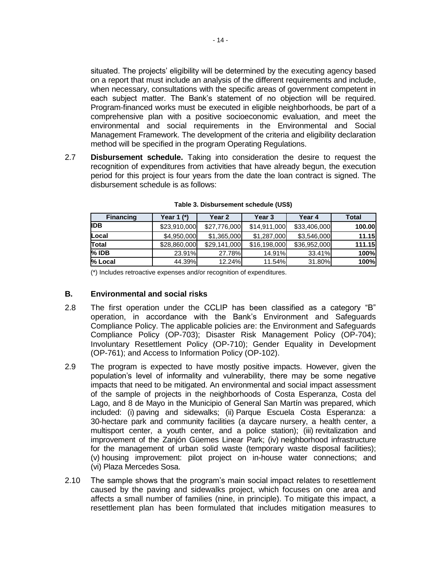situated. The projects' eligibility will be determined by the executing agency based on a report that must include an analysis of the different requirements and include, when necessary, consultations with the specific areas of government competent in each subject matter. The Bank's statement of no objection will be required. Program-financed works must be executed in eligible neighborhoods, be part of a comprehensive plan with a positive socioeconomic evaluation, and meet the environmental and social requirements in the Environmental and Social Management Framework. The development of the criteria and eligibility declaration method will be specified in the program Operating Regulations.

2.7 **Disbursement schedule.** Taking into consideration the desire to request the recognition of expenditures from activities that have already begun, the execution period for this project is four years from the date the loan contract is signed. The disbursement schedule is as follows:

| <b>Financing</b> | Year 1 $(*)$ | Year 2       | Year 3       | Year 4       | Total  |
|------------------|--------------|--------------|--------------|--------------|--------|
| IDB              | \$23,910,000 | \$27,776,000 | \$14,911,000 | \$33,406,000 | 100.00 |
| Local            | \$4,950,000  | \$1,365,000  | \$1,287,000  | \$3,546,000  | 11.15  |
| Total            | \$28,860,000 | \$29,141,000 | \$16,198,000 | \$36,952,000 | 111.15 |
| $%$ IDB          | 23.91%       | 27.78%       | 14.91%       | 33.41%       | 100%   |
| % Local          | 44.39%       | 12.24%       | 11.54%       | 31.80%       | 100%   |

**Table 3. Disbursement schedule (US\$)**

(\*) Includes retroactive expenses and/or recognition of expenditures.

### **B. Environmental and social risks**

- 2.8 The first operation under the CCLIP has been classified as a category "B" operation, in accordance with the Bank's Environment and Safeguards Compliance Policy. The applicable policies are: the Environment and Safeguards Compliance Policy (OP-703); Disaster Risk Management Policy (OP-704); Involuntary Resettlement Policy (OP-710); Gender Equality in Development (OP-761); and Access to Information Policy (OP-102).
- 2.9 The program is expected to have mostly positive impacts. However, given the population's level of informality and vulnerability, there may be some negative impacts that need to be mitigated. An environmental and social impact assessment of the sample of projects in the neighborhoods of Costa Esperanza, Costa del Lago, and 8 de Mayo in the Municipio of General San Martín was prepared, which included: (i) paving and sidewalks; (ii) Parque Escuela Costa Esperanza: a 30-hectare park and community facilities (a daycare nursery, a health center, a multisport center, a youth center, and a police station); (iii) revitalization and improvement of the Zanjón Güemes Linear Park; (iv) neighborhood infrastructure for the management of urban solid waste (temporary waste disposal facilities); (v) housing improvement: pilot project on in-house water connections; and (vi) Plaza Mercedes Sosa.
- 2.10 The sample shows that the program's main social impact relates to resettlement caused by the paving and sidewalks project, which focuses on one area and affects a small number of families (nine, in principle). To mitigate this impact, a resettlement plan has been formulated that includes mitigation measures to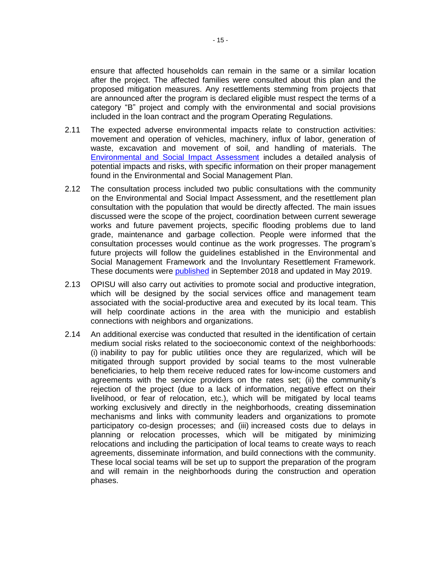ensure that affected households can remain in the same or a similar location after the project. The affected families were consulted about this plan and the proposed mitigation measures. Any resettlements stemming from projects that are announced after the program is declared eligible must respect the terms of a category "B" project and comply with the environmental and social provisions included in the loan contract and the program Operating Regulations.

- 2.11 The expected adverse environmental impacts relate to construction activities: movement and operation of vehicles, machinery, influx of labor, generation of waste, excavation and movement of soil, and handling of materials. The [Environmental and Social Impact Assessment](http://idbdocs.iadb.org/wsdocs/getDocument.aspx?DOCNUM=EZSHARE-1824718806-8) includes a detailed analysis of potential impacts and risks, with specific information on their proper management found in the Environmental and Social Management Plan.
- 2.12 The consultation process included two public consultations with the community on the Environmental and Social Impact Assessment, and the resettlement plan consultation with the population that would be directly affected. The main issues discussed were the scope of the project, coordination between current sewerage works and future pavement projects, specific flooding problems due to land grade, maintenance and garbage collection. People were informed that the consultation processes would continue as the work progresses. The program's future projects will follow the guidelines established in the Environmental and Social Management Framework and the Involuntary Resettlement Framework. These documents were [published](https://www.iadb.org/en/project/AR-L1288) in September 2018 and updated in May 2019.
- 2.13 OPISU will also carry out activities to promote social and productive integration, which will be designed by the social services office and management team associated with the social-productive area and executed by its local team. This will help coordinate actions in the area with the municipio and establish connections with neighbors and organizations.
- 2.14 An additional exercise was conducted that resulted in the identification of certain medium social risks related to the socioeconomic context of the neighborhoods: (i) inability to pay for public utilities once they are regularized, which will be mitigated through support provided by social teams to the most vulnerable beneficiaries, to help them receive reduced rates for low-income customers and agreements with the service providers on the rates set; (ii) the community's rejection of the project (due to a lack of information, negative effect on their livelihood, or fear of relocation, etc.), which will be mitigated by local teams working exclusively and directly in the neighborhoods, creating dissemination mechanisms and links with community leaders and organizations to promote participatory co-design processes; and (iii) increased costs due to delays in planning or relocation processes, which will be mitigated by minimizing relocations and including the participation of local teams to create ways to reach agreements, disseminate information, and build connections with the community. These local social teams will be set up to support the preparation of the program and will remain in the neighborhoods during the construction and operation phases.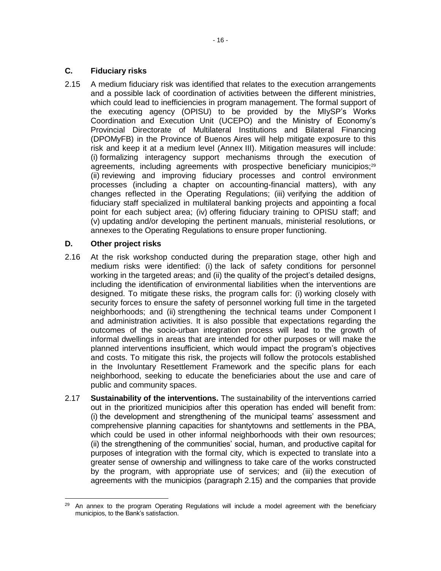# **C. Fiduciary risks**

2.15 A medium fiduciary risk was identified that relates to the execution arrangements and a possible lack of coordination of activities between the different ministries, which could lead to inefficiencies in program management. The formal support of the executing agency (OPISU) to be provided by the MIySP's Works Coordination and Execution Unit (UCEPO) and the Ministry of Economy's Provincial Directorate of Multilateral Institutions and Bilateral Financing (DPOMyFB) in the Province of Buenos Aires will help mitigate exposure to this risk and keep it at a medium level (Annex III). Mitigation measures will include: (i) formalizing interagency support mechanisms through the execution of agreements, including agreements with prospective beneficiary municipios;<sup>29</sup> (ii) reviewing and improving fiduciary processes and control environment processes (including a chapter on accounting-financial matters), with any changes reflected in the Operating Regulations; (iii) verifying the addition of fiduciary staff specialized in multilateral banking projects and appointing a focal point for each subject area; (iv) offering fiduciary training to OPISU staff; and (v) updating and/or developing the pertinent manuals, ministerial resolutions, or annexes to the Operating Regulations to ensure proper functioning.

# **D. Other project risks**

- 2.16 At the risk workshop conducted during the preparation stage, other high and medium risks were identified: (i) the lack of safety conditions for personnel working in the targeted areas; and (ii) the quality of the project's detailed designs, including the identification of environmental liabilities when the interventions are designed. To mitigate these risks, the program calls for: (i) working closely with security forces to ensure the safety of personnel working full time in the targeted neighborhoods; and (ii) strengthening the technical teams under Component I and administration activities. It is also possible that expectations regarding the outcomes of the socio-urban integration process will lead to the growth of informal dwellings in areas that are intended for other purposes or will make the planned interventions insufficient, which would impact the program's objectives and costs. To mitigate this risk, the projects will follow the protocols established in the Involuntary Resettlement Framework and the specific plans for each neighborhood, seeking to educate the beneficiaries about the use and care of public and community spaces.
- 2.17 **Sustainability of the interventions.** The sustainability of the interventions carried out in the prioritized municipios after this operation has ended will benefit from: (i) the development and strengthening of the municipal teams' assessment and comprehensive planning capacities for shantytowns and settlements in the PBA, which could be used in other informal neighborhoods with their own resources; (ii) the strengthening of the communities' social, human, and productive capital for purposes of integration with the formal city, which is expected to translate into a greater sense of ownership and willingness to take care of the works constructed by the program, with appropriate use of services; and (iii) the execution of agreements with the municipios (paragraph 2.15) and the companies that provide

 $\overline{a}$ <sup>29</sup> An annex to the program Operating Regulations will include a model agreement with the beneficiary municipios, to the Bank's satisfaction.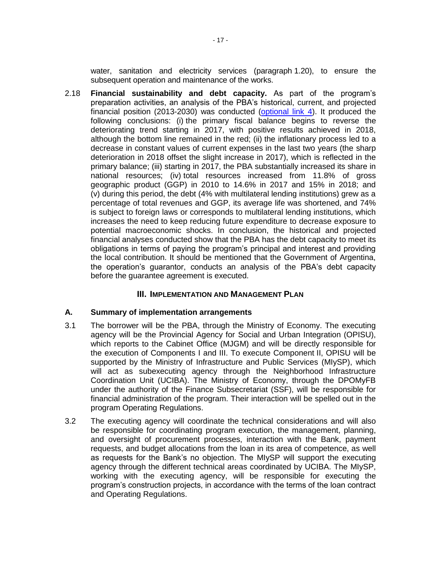water, sanitation and electricity services (paragraph 1.20), to ensure the subsequent operation and maintenance of the works.

2.18 **Financial sustainability and debt capacity.** As part of the program's preparation activities, an analysis of the PBA's historical, current, and projected financial position (2013-2030) was conducted [\(optional link 4\)](http://idbdocs.iadb.org/wsdocs/getDocument.aspx?DOCNUM=EZSHARE-886698046-28). It produced the following conclusions: (i) the primary fiscal balance begins to reverse the deteriorating trend starting in 2017, with positive results achieved in 2018, although the bottom line remained in the red; (ii) the inflationary process led to a decrease in constant values of current expenses in the last two years (the sharp deterioration in 2018 offset the slight increase in 2017), which is reflected in the primary balance; (iii) starting in 2017, the PBA substantially increased its share in national resources; (iv) total resources increased from 11.8% of gross geographic product (GGP) in 2010 to 14.6% in 2017 and 15% in 2018; and (v) during this period, the debt (4% with multilateral lending institutions) grew as a percentage of total revenues and GGP, its average life was shortened, and 74% is subject to foreign laws or corresponds to multilateral lending institutions, which increases the need to keep reducing future expenditure to decrease exposure to potential macroeconomic shocks. In conclusion, the historical and projected financial analyses conducted show that the PBA has the debt capacity to meet its obligations in terms of paying the program's principal and interest and providing the local contribution. It should be mentioned that the Government of Argentina, the operation's guarantor, conducts an analysis of the PBA's debt capacity before the guarantee agreement is executed.

### **III. IMPLEMENTATION AND MANAGEMENT PLAN**

### **A. Summary of implementation arrangements**

- 3.1 The borrower will be the PBA, through the Ministry of Economy. The executing agency will be the Provincial Agency for Social and Urban Integration (OPISU), which reports to the Cabinet Office (MJGM) and will be directly responsible for the execution of Components I and III. To execute Component II, OPISU will be supported by the Ministry of Infrastructure and Public Services (MIySP), which will act as subexecuting agency through the Neighborhood Infrastructure Coordination Unit (UCIBA). The Ministry of Economy, through the DPOMyFB under the authority of the Finance Subsecretariat (SSF), will be responsible for financial administration of the program. Their interaction will be spelled out in the program Operating Regulations.
- 3.2 The executing agency will coordinate the technical considerations and will also be responsible for coordinating program execution, the management, planning, and oversight of procurement processes, interaction with the Bank, payment requests, and budget allocations from the loan in its area of competence, as well as requests for the Bank's no objection. The MIySP will support the executing agency through the different technical areas coordinated by UCIBA. The MIySP, working with the executing agency, will be responsible for executing the program's construction projects, in accordance with the terms of the loan contract and Operating Regulations.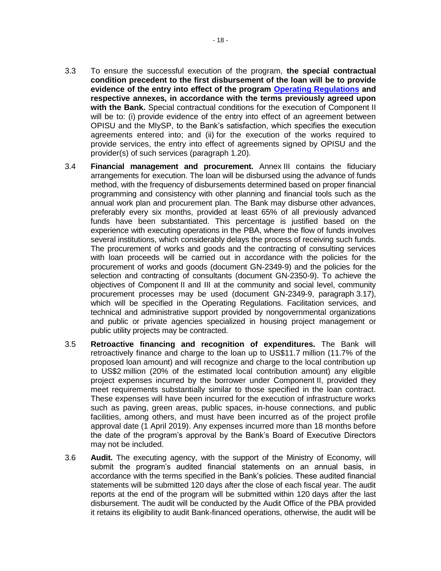- **condition precedent to the first disbursement of the loan will be to provide evidence of the entry into effect of the program [Operating Regulations](http://idbdocs.iadb.org/wsdocs/getDocument.aspx?DOCNUM=EZSHARE-886698046-34) and respective annexes, in accordance with the terms previously agreed upon with the Bank.** Special contractual conditions for the execution of Component II will be to: (i) provide evidence of the entry into effect of an agreement between OPISU and the MIySP, to the Bank's satisfaction, which specifies the execution agreements entered into; and (ii) for the execution of the works required to provide services, the entry into effect of agreements signed by OPISU and the provider(s) of such services (paragraph 1.20).
- 3.4 **Financial management and procurement.** Annex III contains the fiduciary arrangements for execution. The loan will be disbursed using the advance of funds method, with the frequency of disbursements determined based on proper financial programming and consistency with other planning and financial tools such as the annual work plan and procurement plan. The Bank may disburse other advances, preferably every six months, provided at least 65% of all previously advanced funds have been substantiated. This percentage is justified based on the experience with executing operations in the PBA, where the flow of funds involves several institutions, which considerably delays the process of receiving such funds. The procurement of works and goods and the contracting of consulting services with loan proceeds will be carried out in accordance with the policies for the procurement of works and goods (document GN-2349-9) and the policies for the selection and contracting of consultants (document GN-2350-9). To achieve the objectives of Component II and III at the community and social level, community procurement processes may be used (document GN-2349-9, paragraph 3.17), which will be specified in the Operating Regulations. Facilitation services, and technical and administrative support provided by nongovernmental organizations and public or private agencies specialized in housing project management or public utility projects may be contracted.
- 3.5 **Retroactive financing and recognition of expenditures.** The Bank will retroactively finance and charge to the loan up to US\$11.7 million (11.7% of the proposed loan amount) and will recognize and charge to the local contribution up to US\$2 million (20% of the estimated local contribution amount) any eligible project expenses incurred by the borrower under Component II, provided they meet requirements substantially similar to those specified in the loan contract. These expenses will have been incurred for the execution of infrastructure works such as paving, green areas, public spaces, in-house connections, and public facilities, among others, and must have been incurred as of the project profile approval date (1 April 2019). Any expenses incurred more than 18 months before the date of the program's approval by the Bank's Board of Executive Directors may not be included.
- 3.6 **Audit.** The executing agency, with the support of the Ministry of Economy, will submit the program's audited financial statements on an annual basis, in accordance with the terms specified in the Bank's policies. These audited financial statements will be submitted 120 days after the close of each fiscal year. The audit reports at the end of the program will be submitted within 120 days after the last disbursement. The audit will be conducted by the Audit Office of the PBA provided it retains its eligibility to audit Bank-financed operations, otherwise, the audit will be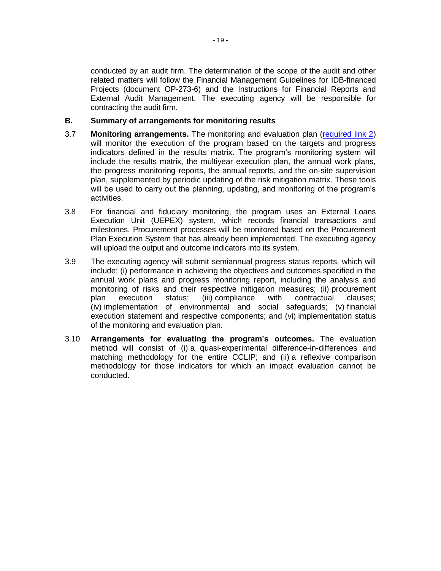conducted by an audit firm. The determination of the scope of the audit and other related matters will follow the Financial Management Guidelines for IDB-financed Projects (document OP-273-6) and the Instructions for Financial Reports and External Audit Management. The executing agency will be responsible for contracting the audit firm.

### **B. Summary of arrangements for monitoring results**

- 3.7 **Monitoring arrangements.** The monitoring and evaluation plan [\(required link 2\)](http://idbdocs.iadb.org/wsdocs/getDocument.aspx?DOCNUM=EZSHARE-886698046-30) will monitor the execution of the program based on the targets and progress indicators defined in the results matrix. The program's monitoring system will include the results matrix, the multiyear execution plan, the annual work plans, the progress monitoring reports, the annual reports, and the on-site supervision plan, supplemented by periodic updating of the risk mitigation matrix. These tools will be used to carry out the planning, updating, and monitoring of the program's activities.
- 3.8 For financial and fiduciary monitoring, the program uses an External Loans Execution Unit (UEPEX) system, which records financial transactions and milestones. Procurement processes will be monitored based on the Procurement Plan Execution System that has already been implemented. The executing agency will upload the output and outcome indicators into its system.
- 3.9 The executing agency will submit semiannual progress status reports, which will include: (i) performance in achieving the objectives and outcomes specified in the annual work plans and progress monitoring report, including the analysis and monitoring of risks and their respective mitigation measures; (ii) procurement plan execution status; (iii) compliance with contractual clauses; (iv) implementation of environmental and social safeguards; (v) financial execution statement and respective components; and (vi) implementation status of the monitoring and evaluation plan.
- 3.10 **Arrangements for evaluating the program's outcomes.** The evaluation method will consist of (i) a quasi-experimental difference-in-differences and matching methodology for the entire CCLIP; and (ii) a reflexive comparison methodology for those indicators for which an impact evaluation cannot be conducted.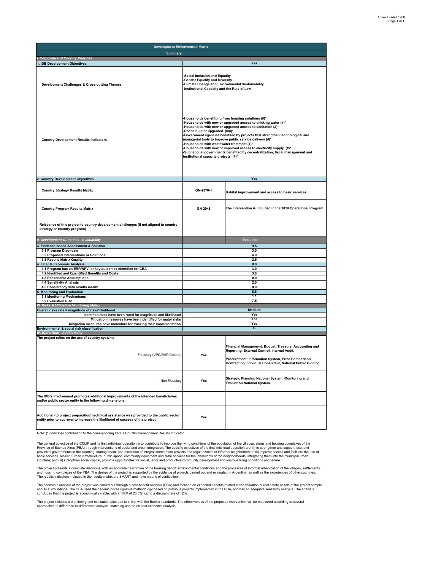| <b>Development Effectiveness Matrix</b>                                                                                                                                     |                                                                                                                                                                                                                                                                                                                                                                                                                                                                                                                                                                                                                |                                                                                                                                                                                                                             |  |  |
|-----------------------------------------------------------------------------------------------------------------------------------------------------------------------------|----------------------------------------------------------------------------------------------------------------------------------------------------------------------------------------------------------------------------------------------------------------------------------------------------------------------------------------------------------------------------------------------------------------------------------------------------------------------------------------------------------------------------------------------------------------------------------------------------------------|-----------------------------------------------------------------------------------------------------------------------------------------------------------------------------------------------------------------------------|--|--|
| <b>Summary</b>                                                                                                                                                              |                                                                                                                                                                                                                                                                                                                                                                                                                                                                                                                                                                                                                |                                                                                                                                                                                                                             |  |  |
| I. Corporate and Country Priorities<br>1. IDB Development Objectives                                                                                                        |                                                                                                                                                                                                                                                                                                                                                                                                                                                                                                                                                                                                                | Yes                                                                                                                                                                                                                         |  |  |
| Development Challenges & Cross-cutting Themes                                                                                                                               | <b>Social Inclusion and Equality</b><br>-Gender Equality and Diversity<br>-Climate Change and Environmental Sustainability<br>-Institutional Capacity and the Rule of Law                                                                                                                                                                                                                                                                                                                                                                                                                                      |                                                                                                                                                                                                                             |  |  |
| <b>Country Development Results Indicators</b>                                                                                                                               | -Households benefitting from housing solutions (#)*<br>-Households with new or upgraded access to drinking water (#)*<br>-Households with new or upgraded access to sanitation (#)*<br>-Roads built or upgraded (km)*<br>-Government agencies benefited by projects that strengthen technological and<br>managerial tools to improve public service delivery (#)*<br>-Households with wastewater treatment (#)*<br>-Households with new or improved access to electricity supply (#)*<br>-Subnational governments benefited by decentralization, fiscal management and<br>institutional capacity projects (#)* |                                                                                                                                                                                                                             |  |  |
|                                                                                                                                                                             |                                                                                                                                                                                                                                                                                                                                                                                                                                                                                                                                                                                                                |                                                                                                                                                                                                                             |  |  |
| 2. Country Development Objectives                                                                                                                                           |                                                                                                                                                                                                                                                                                                                                                                                                                                                                                                                                                                                                                | Yes                                                                                                                                                                                                                         |  |  |
| <b>Country Strategy Results Matrix</b>                                                                                                                                      | GN-2870-1                                                                                                                                                                                                                                                                                                                                                                                                                                                                                                                                                                                                      | Habitat improvement and access to basic services                                                                                                                                                                            |  |  |
| <b>Country Program Results Matrix</b>                                                                                                                                       | The intervention is included in the 2019 Operational Program.<br>GN-2948                                                                                                                                                                                                                                                                                                                                                                                                                                                                                                                                       |                                                                                                                                                                                                                             |  |  |
| Relevance of this project to country development challenges (If not aligned to country<br>strategy or country program)                                                      |                                                                                                                                                                                                                                                                                                                                                                                                                                                                                                                                                                                                                |                                                                                                                                                                                                                             |  |  |
| II. Development Outcomes - Evaluability                                                                                                                                     |                                                                                                                                                                                                                                                                                                                                                                                                                                                                                                                                                                                                                | Evaluable                                                                                                                                                                                                                   |  |  |
| 3. Evidence-based Assessment & Solution                                                                                                                                     |                                                                                                                                                                                                                                                                                                                                                                                                                                                                                                                                                                                                                | 9.5                                                                                                                                                                                                                         |  |  |
| 3.1 Program Diagnosis                                                                                                                                                       |                                                                                                                                                                                                                                                                                                                                                                                                                                                                                                                                                                                                                | 3.0                                                                                                                                                                                                                         |  |  |
| 3.2 Proposed Interventions or Solutions<br>3.3 Results Matrix Quality                                                                                                       |                                                                                                                                                                                                                                                                                                                                                                                                                                                                                                                                                                                                                | 4.0<br>2.5                                                                                                                                                                                                                  |  |  |
| <b>Ex ante Economic Analysis</b>                                                                                                                                            |                                                                                                                                                                                                                                                                                                                                                                                                                                                                                                                                                                                                                | 8.0                                                                                                                                                                                                                         |  |  |
| 4.1 Program has an ERR/NPV, or key outcomes identified for CEA                                                                                                              |                                                                                                                                                                                                                                                                                                                                                                                                                                                                                                                                                                                                                | 3.0                                                                                                                                                                                                                         |  |  |
| 4.2 Identified and Quantified Benefits and Costs                                                                                                                            | 3.0<br>0.0                                                                                                                                                                                                                                                                                                                                                                                                                                                                                                                                                                                                     |                                                                                                                                                                                                                             |  |  |
| 4.3 Reasonable Assumptions<br>4.4 Sensitivity Analysis                                                                                                                      |                                                                                                                                                                                                                                                                                                                                                                                                                                                                                                                                                                                                                | 2.0                                                                                                                                                                                                                         |  |  |
| 4.5 Consistency with results matrix                                                                                                                                         |                                                                                                                                                                                                                                                                                                                                                                                                                                                                                                                                                                                                                | 0.0                                                                                                                                                                                                                         |  |  |
| <b>Monitoring and Evaluation</b>                                                                                                                                            |                                                                                                                                                                                                                                                                                                                                                                                                                                                                                                                                                                                                                | 8.6                                                                                                                                                                                                                         |  |  |
| 5.1 Monitoring Mechanisms                                                                                                                                                   |                                                                                                                                                                                                                                                                                                                                                                                                                                                                                                                                                                                                                | 1.1<br>7.5                                                                                                                                                                                                                  |  |  |
| 5.2 Evaluation Plan<br>III. Risks & Mitigation Monitoring Matrix                                                                                                            |                                                                                                                                                                                                                                                                                                                                                                                                                                                                                                                                                                                                                |                                                                                                                                                                                                                             |  |  |
| Overall risks rate = magnitude of risks*likelihood                                                                                                                          |                                                                                                                                                                                                                                                                                                                                                                                                                                                                                                                                                                                                                | <b>Medium</b>                                                                                                                                                                                                               |  |  |
| Identified risks have been rated for magnitude and likelihood                                                                                                               |                                                                                                                                                                                                                                                                                                                                                                                                                                                                                                                                                                                                                | Yes                                                                                                                                                                                                                         |  |  |
| Mitigation measures have been identified for major risks                                                                                                                    |                                                                                                                                                                                                                                                                                                                                                                                                                                                                                                                                                                                                                | Yes<br>Yes                                                                                                                                                                                                                  |  |  |
| Mitigation measures have indicators for tracking their implementation<br>Environmental & social risk classification                                                         |                                                                                                                                                                                                                                                                                                                                                                                                                                                                                                                                                                                                                | в                                                                                                                                                                                                                           |  |  |
| IV. IDB's Role - Additionality                                                                                                                                              |                                                                                                                                                                                                                                                                                                                                                                                                                                                                                                                                                                                                                |                                                                                                                                                                                                                             |  |  |
| The project relies on the use of country systems                                                                                                                            |                                                                                                                                                                                                                                                                                                                                                                                                                                                                                                                                                                                                                |                                                                                                                                                                                                                             |  |  |
| Fiduciary (VPC/FMP Criteria)                                                                                                                                                | Yes                                                                                                                                                                                                                                                                                                                                                                                                                                                                                                                                                                                                            | Financial Management: Budget, Treasury, Accounting and<br>Reporting, External Control, Internal Audit.<br>Procurement: Information System, Price Comparison,<br>Contracting Individual Consultant, National Public Bidding. |  |  |
| Non-Fiduciary                                                                                                                                                               | Yes                                                                                                                                                                                                                                                                                                                                                                                                                                                                                                                                                                                                            | Strategic Planning National System, Monitoring and<br><b>Evaluation National System.</b>                                                                                                                                    |  |  |
| The IDB's involvement promotes additional improvements of the intended beneficiaries<br>and/or public sector entity in the following dimensions:                            |                                                                                                                                                                                                                                                                                                                                                                                                                                                                                                                                                                                                                |                                                                                                                                                                                                                             |  |  |
| Additional (to project preparation) technical assistance was provided to the public sector<br>entity prior to approval to increase the likelihood of success of the project | Yes                                                                                                                                                                                                                                                                                                                                                                                                                                                                                                                                                                                                            |                                                                                                                                                                                                                             |  |  |

Note: (\*) Indicates contribution to the corresponding CRF's Country Development Results Indicator.

The general objective of the CCLIP and its first individual operation is to contribute to improve the living conditions of the populations and the party of the party of the party of the party of the party of the party of t

The project presents a complete diagnosis; with an accurate description of the housing deficit, environmental conditions and the processes of informal urbanization of the villages, settlements<br>and housing complexes of the

The economic analysis of the project was carried out through a cost-benefit analysis (CBA) and focused on expected benefits related to the valuation of real estate assets of the project sample<br>and its surroundings. The CBA

The project includes a monitoring and evaluation plan that is in line with the Bank's standards. The effectiveness of the proposed intervention will be measured according to several<br>approaches: a difference-in-differences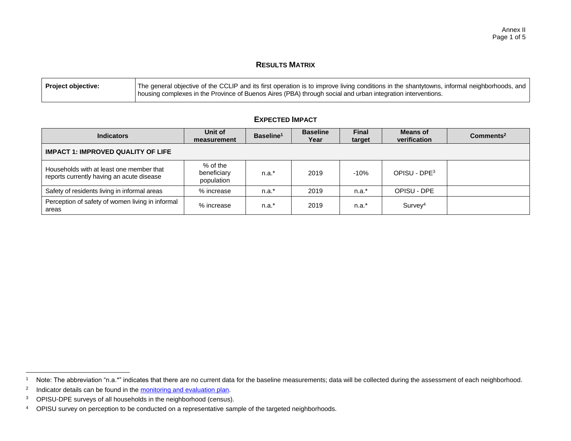### **RESULTS MATRIX**

| Project objective: | The general objective of the CCLIP and its first operation is to improve living conditions in the shantytowns, informal neighborhoods, and |
|--------------------|--------------------------------------------------------------------------------------------------------------------------------------------|
|                    | housing complexes in the Province of Buenos Aires (PBA) through social and urban integration interventions.                                |

| <b>Indicators</b>                                                                     | Unit of<br>measurement                | Baseline <sup>1</sup> | <b>Baseline</b><br>Year | <b>Final</b><br>target | <b>Means of</b><br>verification | Commonents <sup>2</sup> |
|---------------------------------------------------------------------------------------|---------------------------------------|-----------------------|-------------------------|------------------------|---------------------------------|-------------------------|
| <b>IMPACT 1: IMPROVED QUALITY OF LIFE</b>                                             |                                       |                       |                         |                        |                                 |                         |
| Households with at least one member that<br>reports currently having an acute disease | % of the<br>beneficiary<br>population | $n.a.*$               | 2019                    | $-10%$                 | OPISU - DPE <sup>3</sup>        |                         |
| Safety of residents living in informal areas                                          | % increase                            | $n.a.*$               | 2019                    | $n.a.*$                | OPISU - DPE                     |                         |
| Perception of safety of women living in informal<br>areas                             | % increase                            | $n.a.*$               | 2019                    | $n.a.*$                | Survey <sup>4</sup>             |                         |

## **EXPECTED IMPACT**

 $\overline{a}$ 

<sup>&</sup>lt;sup>1</sup> Note: The abbreviation "n.a.\*" indicates that there are no current data for the baseline measurements; data will be collected during the assessment of each neighborhood.

<sup>2</sup> Indicator details can be found in the **monitoring and evaluation plan**.

<sup>3</sup> OPISU-DPE surveys of all households in the neighborhood (census).

<sup>4</sup> OPISU survey on perception to be conducted on a representative sample of the targeted neighborhoods.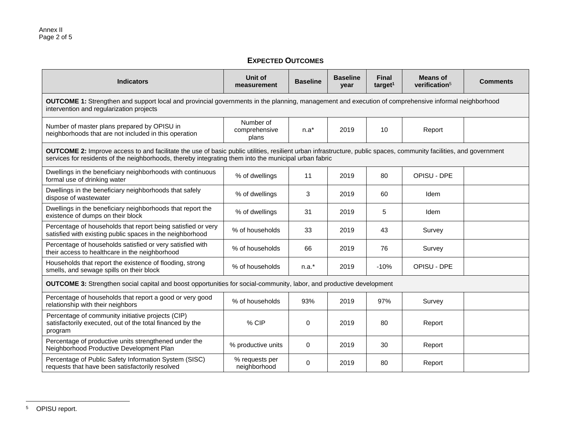# **EXPECTED OUTCOMES**

| <b>Indicators</b>                                                                                                                                                                                                                                                           | Unit of<br>measurement              | <b>Baseline</b> | <b>Baseline</b><br>year | <b>Final</b><br>target <sup>1</sup> | <b>Means of</b><br>verification <sup>5</sup> | <b>Comments</b> |  |  |
|-----------------------------------------------------------------------------------------------------------------------------------------------------------------------------------------------------------------------------------------------------------------------------|-------------------------------------|-----------------|-------------------------|-------------------------------------|----------------------------------------------|-----------------|--|--|
| <b>OUTCOME 1:</b> Strengthen and support local and provincial governments in the planning, management and execution of comprehensive informal neighborhood<br>intervention and regularization projects                                                                      |                                     |                 |                         |                                     |                                              |                 |  |  |
| Number of master plans prepared by OPISU in<br>neighborhoods that are not included in this operation                                                                                                                                                                        | Number of<br>comprehensive<br>plans | $n.a*$          | 2019                    | 10                                  | Report                                       |                 |  |  |
| OUTCOME 2: Improve access to and facilitate the use of basic public utilities, resilient urban infrastructure, public spaces, community facilities, and government<br>services for residents of the neighborhoods, thereby integrating them into the municipal urban fabric |                                     |                 |                         |                                     |                                              |                 |  |  |
| Dwellings in the beneficiary neighborhoods with continuous<br>formal use of drinking water                                                                                                                                                                                  | % of dwellings                      | 11              | 2019                    | 80                                  | OPISU - DPE                                  |                 |  |  |
| Dwellings in the beneficiary neighborhoods that safely<br>dispose of wastewater                                                                                                                                                                                             | % of dwellings                      | 3               | 2019                    | 60                                  | Idem                                         |                 |  |  |
| Dwellings in the beneficiary neighborhoods that report the<br>existence of dumps on their block                                                                                                                                                                             | % of dwellings                      | 31              | 2019                    | 5                                   | Idem                                         |                 |  |  |
| Percentage of households that report being satisfied or very<br>satisfied with existing public spaces in the neighborhood                                                                                                                                                   | % of households                     | 33              | 2019                    | 43                                  | Survey                                       |                 |  |  |
| Percentage of households satisfied or very satisfied with<br>their access to healthcare in the neighborhood                                                                                                                                                                 | % of households                     | 66              | 2019                    | 76                                  | Survey                                       |                 |  |  |
| Households that report the existence of flooding, strong<br>smells, and sewage spills on their block                                                                                                                                                                        | % of households                     | $n.a.*$         | 2019                    | $-10%$                              | OPISU - DPE                                  |                 |  |  |
| OUTCOME 3: Strengthen social capital and boost opportunities for social-community, labor, and productive development                                                                                                                                                        |                                     |                 |                         |                                     |                                              |                 |  |  |
| Percentage of households that report a good or very good<br>relationship with their neighbors                                                                                                                                                                               | % of households                     | 93%             | 2019                    | 97%                                 | Survey                                       |                 |  |  |
| Percentage of community initiative projects (CIP)<br>satisfactorily executed, out of the total financed by the<br>program                                                                                                                                                   | % CIP                               | $\Omega$        | 2019                    | 80                                  | Report                                       |                 |  |  |
| Percentage of productive units strengthened under the<br>Neighborhood Productive Development Plan                                                                                                                                                                           | % productive units                  | 0               | 2019                    | 30                                  | Report                                       |                 |  |  |
| Percentage of Public Safety Information System (SISC)<br>requests that have been satisfactorily resolved                                                                                                                                                                    | % requests per<br>neighborhood      | $\Omega$        | 2019                    | 80                                  | Report                                       |                 |  |  |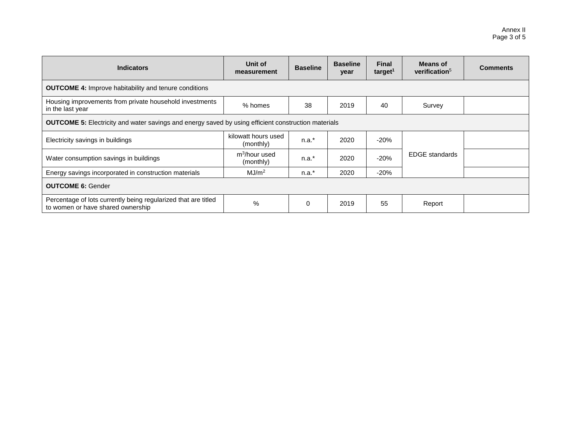| <b>Indicators</b>                                                                                          | Unit of<br>measurement                 | <b>Baseline</b> | <b>Baseline</b><br>year | Final<br>target <sup>1</sup> | Means of<br>verification <sup>5</sup> | <b>Comments</b> |  |  |
|------------------------------------------------------------------------------------------------------------|----------------------------------------|-----------------|-------------------------|------------------------------|---------------------------------------|-----------------|--|--|
| <b>OUTCOME 4:</b> Improve habitability and tenure conditions                                               |                                        |                 |                         |                              |                                       |                 |  |  |
| Housing improvements from private household investments<br>in the last year                                | % homes                                | 38              | 2019                    | 40                           | Survey                                |                 |  |  |
| <b>OUTCOME 5:</b> Electricity and water savings and energy saved by using efficient construction materials |                                        |                 |                         |                              |                                       |                 |  |  |
| Electricity savings in buildings                                                                           | kilowatt hours used<br>(monthly)       | $n.a.*$         | 2020                    | $-20%$                       |                                       |                 |  |  |
| Water consumption savings in buildings                                                                     | m <sup>3</sup> /hour used<br>(monthly) | $n.a.*$         | 2020                    | $-20%$                       | <b>EDGE</b> standards                 |                 |  |  |
| Energy savings incorporated in construction materials                                                      | MJ/m <sup>2</sup>                      | $n.a.*$         | 2020                    | $-20%$                       |                                       |                 |  |  |
| <b>OUTCOME 6: Gender</b>                                                                                   |                                        |                 |                         |                              |                                       |                 |  |  |
| Percentage of lots currently being regularized that are titled<br>to women or have shared ownership        | %                                      | $\Omega$        | 2019                    | 55                           | Report                                |                 |  |  |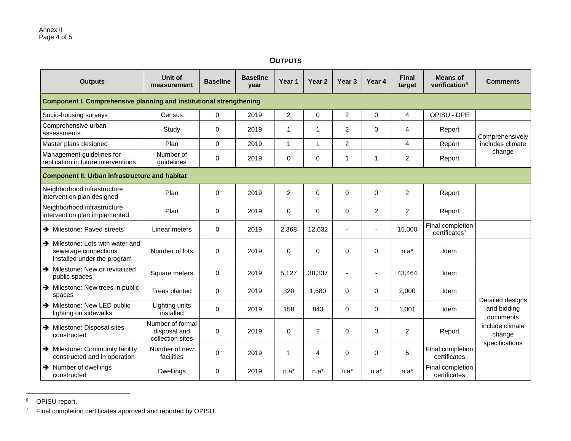### **OUTPUTS**

| <b>Outputs</b>                                                                                      | Unit of<br>measurement                               | <b>Baseline</b> | <b>Baseline</b><br>year | Year <sub>1</sub> | Year <sub>2</sub> | Year <sub>3</sub> | Year <sub>4</sub>        | <b>Final</b><br>target | <b>Means of</b><br>verification <sup>6</sup>  | <b>Comments</b>                             |
|-----------------------------------------------------------------------------------------------------|------------------------------------------------------|-----------------|-------------------------|-------------------|-------------------|-------------------|--------------------------|------------------------|-----------------------------------------------|---------------------------------------------|
| <b>Component I. Comprehensive planning and institutional strengthening</b>                          |                                                      |                 |                         |                   |                   |                   |                          |                        |                                               |                                             |
| Socio-housing surveys                                                                               | Census                                               | $\Omega$        | 2019                    | $\overline{c}$    | 0                 | $\overline{2}$    | $\mathbf 0$              | 4                      | OPISU - DPE                                   |                                             |
| Comprehensive urban<br>assessments                                                                  | Study                                                | 0               | 2019                    | 1                 | 1                 | $\overline{2}$    | $\Omega$                 | 4                      | Report                                        | Comprehensively                             |
| Master plans designed                                                                               | Plan                                                 | 0               | 2019                    | $\mathbf{1}$      | $\mathbf{1}$      | $\overline{2}$    |                          | 4                      | Report                                        | includes climate                            |
| Management guidelines for<br>replication in future interventions                                    | Number of<br>guidelines                              | 0               | 2019                    | 0                 | $\mathbf 0$       | $\mathbf 1$       | 1                        | $\overline{2}$         | Report                                        | change                                      |
| <b>Component II. Urban infrastructure and habitat</b>                                               |                                                      |                 |                         |                   |                   |                   |                          |                        |                                               |                                             |
| Neighborhood infrastructure<br>intervention plan designed                                           | Plan                                                 | 0               | 2019                    | $\overline{2}$    | 0                 | $\mathbf 0$       | $\Omega$                 | $\overline{2}$         | Report                                        |                                             |
| Neighborhood infrastructure<br>intervention plan implemented                                        | Plan                                                 | 0               | 2019                    | 0                 | 0                 | $\Omega$          | 2                        | $\overline{2}$         | Report                                        |                                             |
| $\rightarrow$ Milestone: Paved streets                                                              | Linear meters                                        | 0               | 2019                    | 2,368             | 12,632            |                   | $\overline{\phantom{a}}$ | 15,000                 | Final completion<br>certificates <sup>7</sup> |                                             |
| $\rightarrow$ Milestone: Lots with water and<br>sewerage connections<br>installed under the program | Number of lots                                       | $\Omega$        | 2019                    | $\Omega$          | 0                 | $\Omega$          | $\Omega$                 | $n.a*$                 | Idem                                          |                                             |
| > Milestone: New or revitalized<br>public spaces                                                    | Square meters                                        | 0               | 2019                    | 5,127             | 38,337            |                   | ä,                       | 43,464                 | Idem                                          |                                             |
| $\rightarrow$ Milestone: New trees in public<br>spaces                                              | Trees planted                                        | $\Omega$        | 2019                    | 320               | 1,680             | $\Omega$          | $\Omega$                 | 2,000                  | Idem                                          | Detailed designs                            |
| > Milestone: New LED public<br>lighting on sidewalks                                                | Lighting units<br>installed                          | 0               | 2019                    | 158               | 843               | $\Omega$          | $\Omega$                 | 1,001                  | Idem                                          | and bidding<br>documents                    |
| $\rightarrow$ Milestone: Disposal sites<br>constructed                                              | Number of formal<br>disposal and<br>collection sites | $\Omega$        | 2019                    | $\Omega$          | $\overline{2}$    | $\Omega$          | $\Omega$                 | $\overline{c}$         | Report                                        | include climate<br>change<br>specifications |
| Milestone: Community facility<br>constructed and in operation                                       | Number of new<br>facilities                          | 0               | 2019                    | $\mathbf{1}$      | 4                 | $\Omega$          | $\Omega$                 | 5                      | Final completion<br>certificates              |                                             |
| $\rightarrow$ Number of dwellings<br>constructed                                                    | <b>Dwellings</b>                                     | $\Omega$        | 2019                    | $n.a*$            | $n.a*$            | n.a*              | $n.a*$                   | $n.a*$                 | Final completion<br>certificates              |                                             |

<sup>6</sup> OPISU report.

 $\overline{a}$ 

<sup>7</sup> Final completion certificates approved and reported by OPISU.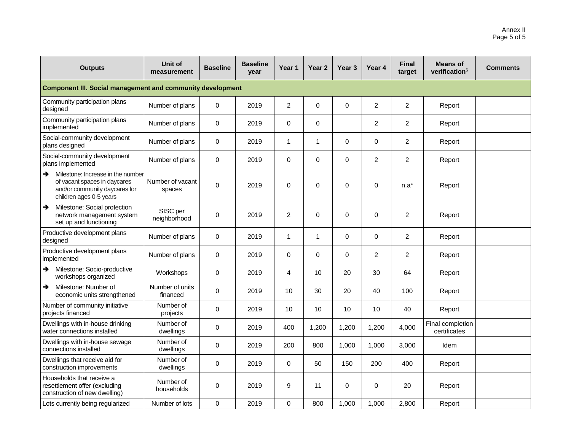| <b>Outputs</b>                                                                                                                                 | Unit of<br>measurement      | <b>Baseline</b> | <b>Baseline</b><br>year | Year 1         | Year <sub>2</sub> | Year <sub>3</sub> | Year <sub>4</sub> | <b>Final</b><br>target | <b>Means of</b><br>verification <sup>6</sup> | <b>Comments</b> |
|------------------------------------------------------------------------------------------------------------------------------------------------|-----------------------------|-----------------|-------------------------|----------------|-------------------|-------------------|-------------------|------------------------|----------------------------------------------|-----------------|
| <b>Component III. Social management and community development</b>                                                                              |                             |                 |                         |                |                   |                   |                   |                        |                                              |                 |
| Community participation plans<br>designed                                                                                                      | Number of plans             | $\mathbf 0$     | 2019                    | $\overline{2}$ | $\mathbf 0$       | $\Omega$          | 2                 | $\overline{2}$         | Report                                       |                 |
| Community participation plans<br>implemented                                                                                                   | Number of plans             | $\mathbf 0$     | 2019                    | $\Omega$       | $\mathbf 0$       |                   | 2                 | $\overline{2}$         | Report                                       |                 |
| Social-community development<br>plans designed                                                                                                 | Number of plans             | $\mathbf 0$     | 2019                    | 1              | 1                 | $\mathbf 0$       | 0                 | $\overline{2}$         | Report                                       |                 |
| Social-community development<br>plans implemented                                                                                              | Number of plans             | $\mathbf 0$     | 2019                    | 0              | $\mathbf 0$       | $\mathbf 0$       | $\overline{2}$    | $\overline{2}$         | Report                                       |                 |
| $\rightarrow$<br>Milestone: Increase in the number<br>of vacant spaces in daycares<br>and/or community daycares for<br>children ages 0-5 years | Number of vacant<br>spaces  | $\mathbf 0$     | 2019                    | 0              | 0                 | $\mathbf 0$       | 0                 | $n.a*$                 | Report                                       |                 |
| Milestone: Social protection<br>$\rightarrow$<br>network management system<br>set up and functioning                                           | SISC per<br>neighborhood    | $\mathbf 0$     | 2019                    | $\overline{2}$ | $\mathbf 0$       | $\mathbf 0$       | 0                 | $\overline{2}$         | Report                                       |                 |
| Productive development plans<br>designed                                                                                                       | Number of plans             | 0               | 2019                    | 1              | $\mathbf{1}$      | $\Omega$          | $\Omega$          | $\overline{c}$         | Report                                       |                 |
| Productive development plans<br>implemented                                                                                                    | Number of plans             | $\mathbf 0$     | 2019                    | $\Omega$       | $\mathbf 0$       | $\Omega$          | 2                 | $\overline{2}$         | Report                                       |                 |
| $\rightarrow$<br>Milestone: Socio-productive<br>workshops organized                                                                            | Workshops                   | 0               | 2019                    | 4              | 10                | 20                | 30                | 64                     | Report                                       |                 |
| $\rightarrow$<br>Milestone: Number of<br>economic units strengthened                                                                           | Number of units<br>financed | $\mathbf 0$     | 2019                    | 10             | 30                | 20                | 40                | 100                    | Report                                       |                 |
| Number of community initiative<br>projects financed                                                                                            | Number of<br>projects       | $\mathbf 0$     | 2019                    | 10             | 10                | 10                | 10                | 40                     | Report                                       |                 |
| Dwellings with in-house drinking<br>water connections installed                                                                                | Number of<br>dwellings      | $\mathbf 0$     | 2019                    | 400            | 1,200             | 1,200             | 1,200             | 4,000                  | Final completion<br>certificates             |                 |
| Dwellings with in-house sewage<br>connections installed                                                                                        | Number of<br>dwellings      | $\mathbf 0$     | 2019                    | 200            | 800               | 1,000             | 1,000             | 3,000                  | <b>Idem</b>                                  |                 |
| Dwellings that receive aid for<br>construction improvements                                                                                    | Number of<br>dwellings      | $\mathbf 0$     | 2019                    | $\Omega$       | 50                | 150               | 200               | 400                    | Report                                       |                 |
| Households that receive a<br>resettlement offer (excluding<br>construction of new dwelling)                                                    | Number of<br>households     | $\mathbf 0$     | 2019                    | 9              | 11                | $\mathbf 0$       | 0                 | 20                     | Report                                       |                 |
| Lots currently being regularized                                                                                                               | Number of lots              | $\pmb{0}$       | 2019                    | 0              | 800               | 1,000             | 1,000             | 2,800                  | Report                                       |                 |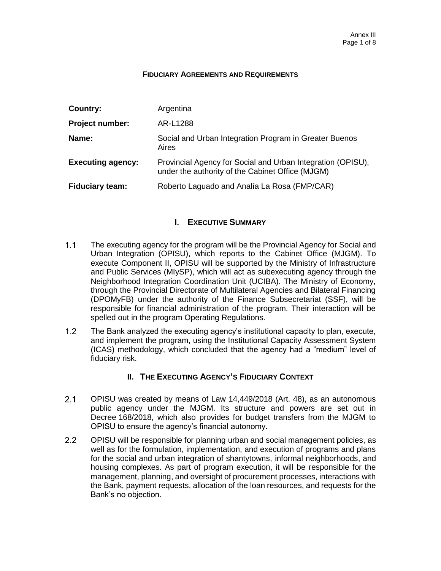#### **FIDUCIARY AGREEMENTS AND REQUIREMENTS**

| Country:                 | Argentina                                                                                                       |
|--------------------------|-----------------------------------------------------------------------------------------------------------------|
| <b>Project number:</b>   | AR-L1288                                                                                                        |
| Name:                    | Social and Urban Integration Program in Greater Buenos<br>Aires                                                 |
| <b>Executing agency:</b> | Provincial Agency for Social and Urban Integration (OPISU),<br>under the authority of the Cabinet Office (MJGM) |
| <b>Fiduciary team:</b>   | Roberto Laguado and Analía La Rosa (FMP/CAR)                                                                    |

# **I. EXECUTIVE SUMMARY**

- $1.1$ The executing agency for the program will be the Provincial Agency for Social and Urban Integration (OPISU), which reports to the Cabinet Office (MJGM). To execute Component II, OPISU will be supported by the Ministry of Infrastructure and Public Services (MIySP), which will act as subexecuting agency through the Neighborhood Integration Coordination Unit (UCIBA). The Ministry of Economy, through the Provincial Directorate of Multilateral Agencies and Bilateral Financing (DPOMyFB) under the authority of the Finance Subsecretariat (SSF), will be responsible for financial administration of the program. Their interaction will be spelled out in the program Operating Regulations.
- $1.2<sub>2</sub>$ The Bank analyzed the executing agency's institutional capacity to plan, execute, and implement the program, using the Institutional Capacity Assessment System (ICAS) methodology, which concluded that the agency had a "medium" level of fiduciary risk.

# **II. THE EXECUTING AGENCY'S FIDUCIARY CONTEXT**

- $2.1$ OPISU was created by means of Law 14,449/2018 (Art. 48), as an autonomous public agency under the MJGM. Its structure and powers are set out in Decree 168/2018, which also provides for budget transfers from the MJGM to OPISU to ensure the agency's financial autonomy.
- $2.2^{\circ}$ OPISU will be responsible for planning urban and social management policies, as well as for the formulation, implementation, and execution of programs and plans for the social and urban integration of shantytowns, informal neighborhoods, and housing complexes. As part of program execution, it will be responsible for the management, planning, and oversight of procurement processes, interactions with the Bank, payment requests, allocation of the loan resources, and requests for the Bank's no objection.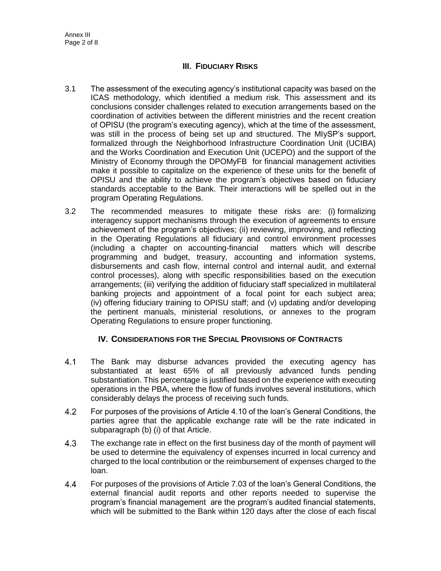# **III. FIDUCIARY RISKS**

- 3.1 The assessment of the executing agency's institutional capacity was based on the ICAS methodology, which identified a medium risk. This assessment and its conclusions consider challenges related to execution arrangements based on the coordination of activities between the different ministries and the recent creation of OPISU (the program's executing agency), which at the time of the assessment, was still in the process of being set up and structured. The MIySP's support, formalized through the Neighborhood Infrastructure Coordination Unit (UCIBA) and the Works Coordination and Execution Unit (UCEPO) and the support of the Ministry of Economy through the DPOMyFB for financial management activities make it possible to capitalize on the experience of these units for the benefit of OPISU and the ability to achieve the program's objectives based on fiduciary standards acceptable to the Bank. Their interactions will be spelled out in the program Operating Regulations.
- 3.2 The recommended measures to mitigate these risks are: (i) formalizing interagency support mechanisms through the execution of agreements to ensure achievement of the program's objectives; (ii) reviewing, improving, and reflecting in the Operating Regulations all fiduciary and control environment processes (including a chapter on accounting-financial matters which will describe programming and budget, treasury, accounting and information systems, disbursements and cash flow, internal control and internal audit, and external control processes), along with specific responsibilities based on the execution arrangements; (iii) verifying the addition of fiduciary staff specialized in multilateral banking projects and appointment of a focal point for each subject area; (iv) offering fiduciary training to OPISU staff; and (v) updating and/or developing the pertinent manuals, ministerial resolutions, or annexes to the program Operating Regulations to ensure proper functioning.

# **IV. CONSIDERATIONS FOR THE SPECIAL PROVISIONS OF CONTRACTS**

- $4.1$ The Bank may disburse advances provided the executing agency has substantiated at least 65% of all previously advanced funds pending substantiation. This percentage is justified based on the experience with executing operations in the PBA, where the flow of funds involves several institutions, which considerably delays the process of receiving such funds.
- $4.2$ For purposes of the provisions of Article 4.10 of the loan's General Conditions, the parties agree that the applicable exchange rate will be the rate indicated in subparagraph (b) (i) of that Article.
- $4.3$ The exchange rate in effect on the first business day of the month of payment will be used to determine the equivalency of expenses incurred in local currency and charged to the local contribution or the reimbursement of expenses charged to the loan.
- $4.4$ For purposes of the provisions of Article 7.03 of the loan's General Conditions, the external financial audit reports and other reports needed to supervise the program's financial management are the program's audited financial statements, which will be submitted to the Bank within 120 days after the close of each fiscal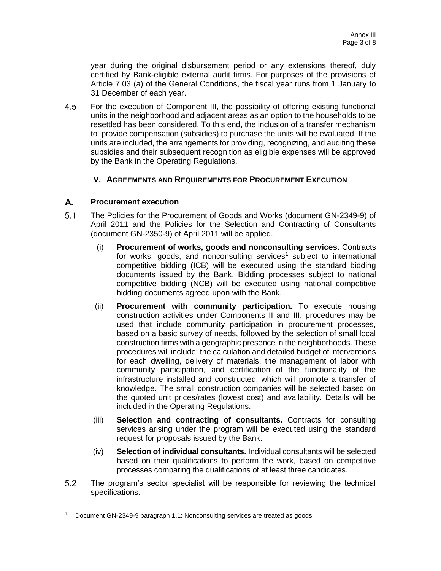year during the original disbursement period or any extensions thereof, duly certified by Bank-eligible external audit firms. For purposes of the provisions of Article 7.03 (a) of the General Conditions, the fiscal year runs from 1 January to 31 December of each year.

4.5 For the execution of Component III, the possibility of offering existing functional units in the neighborhood and adjacent areas as an option to the households to be resettled has been considered. To this end, the inclusion of a transfer mechanism to provide compensation (subsidies) to purchase the units will be evaluated. If the units are included, the arrangements for providing, recognizing, and auditing these subsidies and their subsequent recognition as eligible expenses will be approved by the Bank in the Operating Regulations.

# **V. AGREEMENTS AND REQUIREMENTS FOR PROCUREMENT EXECUTION**

#### A. **Procurement execution**

- $5.1$ The Policies for the Procurement of Goods and Works (document GN-2349-9) of April 2011 and the Policies for the Selection and Contracting of Consultants (document GN-2350-9) of April 2011 will be applied.
	- (i) **Procurement of works, goods and nonconsulting services.** Contracts for works, goods, and nonconsulting services<sup>1</sup> subject to international competitive bidding (ICB) will be executed using the standard bidding documents issued by the Bank. Bidding processes subject to national competitive bidding (NCB) will be executed using national competitive bidding documents agreed upon with the Bank.
	- (ii) **Procurement with community participation.** To execute housing construction activities under Components II and III, procedures may be used that include community participation in procurement processes, based on a basic survey of needs, followed by the selection of small local construction firms with a geographic presence in the neighborhoods. These procedures will include: the calculation and detailed budget of interventions for each dwelling, delivery of materials, the management of labor with community participation, and certification of the functionality of the infrastructure installed and constructed, which will promote a transfer of knowledge. The small construction companies will be selected based on the quoted unit prices/rates (lowest cost) and availability. Details will be included in the Operating Regulations.
	- (iii) **Selection and contracting of consultants.** Contracts for consulting services arising under the program will be executed using the standard request for proposals issued by the Bank.
	- (iv) **Selection of individual consultants.** Individual consultants will be selected based on their qualifications to perform the work, based on competitive processes comparing the qualifications of at least three candidates.
- $5.2$ The program's sector specialist will be responsible for reviewing the technical specifications.

Document GN-2349-9 paragraph 1.1: Nonconsulting services are treated as goods.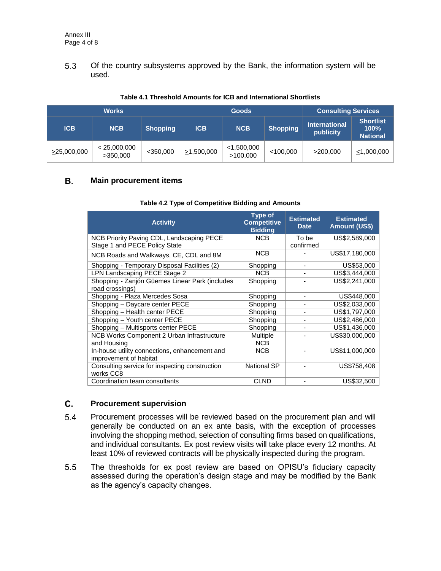$5.3$ Of the country subsystems approved by the Bank, the information system will be used.

| <b>Works</b>      |                          |                 |                  | <b>Goods</b>              | <b>Consulting Services</b> |                                   |                                                |
|-------------------|--------------------------|-----------------|------------------|---------------------------|----------------------------|-----------------------------------|------------------------------------------------|
| <b>ICB</b>        | <b>NCB</b>               | <b>Shopping</b> | <b>ICB</b>       | <b>NCB</b>                | <b>Shopping</b>            | <b>International</b><br>publicity | <b>Shortlist</b><br>$100\%$<br><b>National</b> |
| $\geq$ 25,000,000 | < 25,000,000<br>>350,000 | $<$ 350,000     | $\geq 1,500,000$ | $<$ 1,500,000<br>>100,000 | < 100,000                  | >200,000                          | $\leq 1,000,000$                               |

#### **Table 4.1 Threshold Amounts for ICB and International Shortlists**

#### **B. Main procurement items**

| <b>Activity</b>                                                            | <b>Type of</b><br><b>Competitive</b><br><b>Bidding</b> | <b>Estimated</b><br><b>Date</b> | <b>Estimated</b><br><b>Amount (US\$)</b> |
|----------------------------------------------------------------------------|--------------------------------------------------------|---------------------------------|------------------------------------------|
| NCB Priority Paving CDL, Landscaping PECE<br>Stage 1 and PECE Policy State | NCB                                                    | To be<br>confirmed              | US\$2,589,000                            |
| NCB Roads and Walkways, CE, CDL and 8M                                     | <b>NCB</b>                                             |                                 | US\$17,180,000                           |
| Shopping - Temporary Disposal Facilities (2)                               | Shopping                                               |                                 | US\$53,000                               |
| LPN Landscaping PECE Stage 2                                               | <b>NCB</b>                                             |                                 | US\$3,444,000                            |
| Shopping - Zanjón Güemes Linear Park (includes<br>road crossings)          | Shopping                                               |                                 | US\$2,241,000                            |
| Shopping - Plaza Mercedes Sosa                                             | Shopping                                               |                                 | US\$448,000                              |
| Shopping - Daycare center PECE                                             | Shopping                                               |                                 | US\$2,033,000                            |
| Shopping - Health center PECE                                              | Shopping                                               |                                 | US\$1,797,000                            |
| Shopping - Youth center PECE                                               | Shopping                                               |                                 | US\$2,486,000                            |
| Shopping - Multisports center PECE                                         | Shopping                                               |                                 | US\$1,436,000                            |
| NCB Works Component 2 Urban Infrastructure<br>and Housing                  | Multiple<br><b>NCB</b>                                 |                                 | US\$30,000,000                           |
| In-house utility connections, enhancement and<br>improvement of habitat    | <b>NCB</b>                                             |                                 | US\$11,000,000                           |
| Consulting service for inspecting construction<br>works CC8                | National SP                                            |                                 | US\$758,408                              |
| Coordination team consultants                                              | <b>CLND</b>                                            |                                 | US\$32,500                               |

#### **Table 4.2 Type of Competitive Bidding and Amounts**

#### $\mathbf{C}$ . **Procurement supervision**

- $5.4$ Procurement processes will be reviewed based on the procurement plan and will generally be conducted on an ex ante basis, with the exception of processes involving the shopping method, selection of consulting firms based on qualifications, and individual consultants. Ex post review visits will take place every 12 months. At least 10% of reviewed contracts will be physically inspected during the program.
- $5.5$ The thresholds for ex post review are based on OPISU's fiduciary capacity assessed during the operation's design stage and may be modified by the Bank as the agency's capacity changes.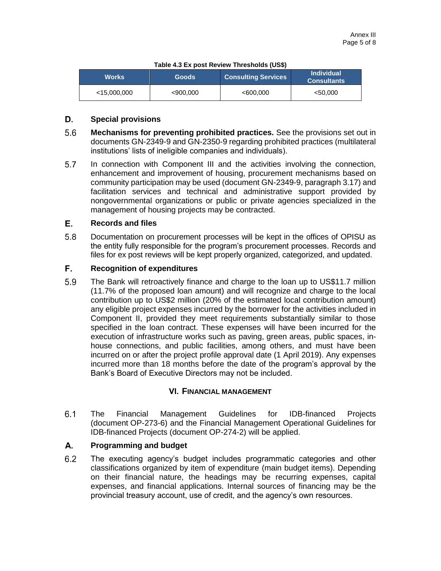|  |  |  | Table 4.3 Ex post Review Thresholds (US\$) |  |
|--|--|--|--------------------------------------------|--|
|--|--|--|--------------------------------------------|--|

| <b>Works</b>   | <b>Goods</b> | <b>Consulting Services</b> | <b>Individual</b><br><b>Consultants</b> |
|----------------|--------------|----------------------------|-----------------------------------------|
| $<$ 15,000,000 | <900,000     | <600,000                   | $<$ 50.000                              |

#### D. **Special provisions**

- 5.6 **Mechanisms for preventing prohibited practices.** See the provisions set out in documents GN-2349-9 and GN-2350-9 regarding prohibited practices (multilateral institutions' lists of ineligible companies and individuals).
- 5.7 In connection with Component III and the activities involving the connection, enhancement and improvement of housing, procurement mechanisms based on community participation may be used (document GN-2349-9, paragraph 3.17) and facilitation services and technical and administrative support provided by nongovernmental organizations or public or private agencies specialized in the management of housing projects may be contracted.

#### Е. **Records and files**

5.8 Documentation on procurement processes will be kept in the offices of OPISU as the entity fully responsible for the program's procurement processes. Records and files for ex post reviews will be kept properly organized, categorized, and updated.

#### F. **Recognition of expenditures**

5.9 The Bank will retroactively finance and charge to the loan up to US\$11.7 million (11.7% of the proposed loan amount) and will recognize and charge to the local contribution up to US\$2 million (20% of the estimated local contribution amount) any eligible project expenses incurred by the borrower for the activities included in Component II, provided they meet requirements substantially similar to those specified in the loan contract. These expenses will have been incurred for the execution of infrastructure works such as paving, green areas, public spaces, inhouse connections, and public facilities, among others, and must have been incurred on or after the project profile approval date (1 April 2019). Any expenses incurred more than 18 months before the date of the program's approval by the Bank's Board of Executive Directors may not be included.

### **VI. FINANCIAL MANAGEMENT**

 $6.1$ The Financial Management Guidelines for IDB-financed Projects (document OP-273-6) and the Financial Management Operational Guidelines for IDB-financed Projects (document OP-274-2) will be applied.

#### A. **Programming and budget**

 $6.2$ The executing agency's budget includes programmatic categories and other classifications organized by item of expenditure (main budget items). Depending on their financial nature, the headings may be recurring expenses, capital expenses, and financial applications. Internal sources of financing may be the provincial treasury account, use of credit, and the agency's own resources.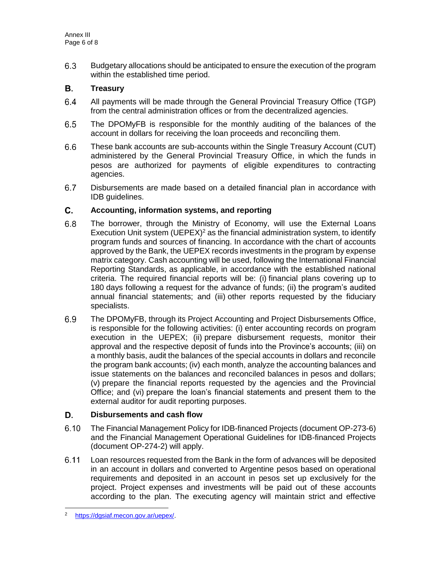$6.3$ Budgetary allocations should be anticipated to ensure the execution of the program within the established time period.

#### В. **Treasury**

- $6.4$ All payments will be made through the General Provincial Treasury Office (TGP) from the central administration offices or from the decentralized agencies.
- $6.5$ The DPOMyFB is responsible for the monthly auditing of the balances of the account in dollars for receiving the loan proceeds and reconciling them.
- $6.6$ These bank accounts are sub-accounts within the Single Treasury Account (CUT) administered by the General Provincial Treasury Office, in which the funds in pesos are authorized for payments of eligible expenditures to contracting agencies.
- $6.7$ Disbursements are made based on a detailed financial plan in accordance with IDB guidelines.

#### $\mathbf{C}$ . **Accounting, information systems, and reporting**

- $6.8$ The borrower, through the Ministry of Economy, will use the External Loans Execution Unit system  $(UEPEX)^2$  as the financial administration system, to identify program funds and sources of financing. In accordance with the chart of accounts approved by the Bank, the UEPEX records investments in the program by expense matrix category. Cash accounting will be used, following the International Financial Reporting Standards, as applicable, in accordance with the established national criteria. The required financial reports will be: (i) financial plans covering up to 180 days following a request for the advance of funds; (ii) the program's audited annual financial statements; and (iii) other reports requested by the fiduciary specialists.
- $6.9$ The DPOMyFB, through its Project Accounting and Project Disbursements Office, is responsible for the following activities: (i) enter accounting records on program execution in the UEPEX; (ii) prepare disbursement requests, monitor their approval and the respective deposit of funds into the Province's accounts; (iii) on a monthly basis, audit the balances of the special accounts in dollars and reconcile the program bank accounts; (iv) each month, analyze the accounting balances and issue statements on the balances and reconciled balances in pesos and dollars; (v) prepare the financial reports requested by the agencies and the Provincial Office; and (vi) prepare the loan's financial statements and present them to the external auditor for audit reporting purposes.

#### D. **Disbursements and cash flow**

- $6.10$ The Financial Management Policy for IDB-financed Projects (document OP-273-6) and the Financial Management Operational Guidelines for IDB-financed Projects (document OP-274-2) will apply.
- $6.11$ Loan resources requested from the Bank in the form of advances will be deposited in an account in dollars and converted to Argentine pesos based on operational requirements and deposited in an account in pesos set up exclusively for the project. Project expenses and investments will be paid out of these accounts according to the plan. The executing agency will maintain strict and effective

<sup>2</sup> [https://dgsiaf.mecon.gov.ar/uepex/.](https://dgsiaf.mecon.gov.ar/uepex/)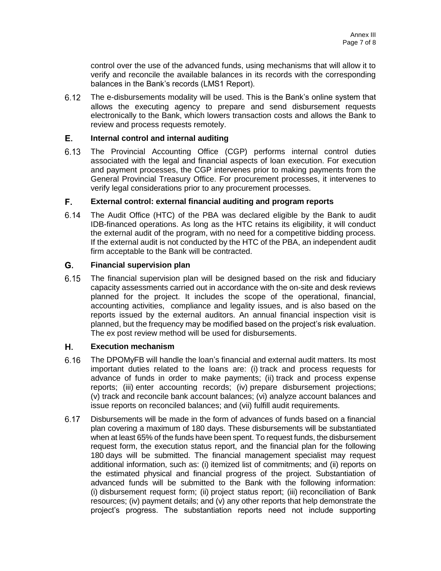control over the use of the advanced funds, using mechanisms that will allow it to verify and reconcile the available balances in its records with the corresponding balances in the Bank's records (LMS1 Report).

The e-disbursements modality will be used. This is the Bank's online system that  $6.12$ allows the executing agency to prepare and send disbursement requests electronically to the Bank, which lowers transaction costs and allows the Bank to review and process requests remotely.

#### E. **Internal control and internal auditing**

 $6.13$ The Provincial Accounting Office (CGP) performs internal control duties associated with the legal and financial aspects of loan execution. For execution and payment processes, the CGP intervenes prior to making payments from the General Provincial Treasury Office. For procurement processes, it intervenes to verify legal considerations prior to any procurement processes.

#### F. **External control: external financial auditing and program reports**

 $6.14$ The Audit Office (HTC) of the PBA was declared eligible by the Bank to audit IDB-financed operations. As long as the HTC retains its eligibility, it will conduct the external audit of the program, with no need for a competitive bidding process. If the external audit is not conducted by the HTC of the PBA, an independent audit firm acceptable to the Bank will be contracted.

#### G. **Financial supervision plan**

 $6.15$ The financial supervision plan will be designed based on the risk and fiduciary capacity assessments carried out in accordance with the on-site and desk reviews planned for the project. It includes the scope of the operational, financial, accounting activities, compliance and legality issues, and is also based on the reports issued by the external auditors. An annual financial inspection visit is planned, but the frequency may be modified based on the project's risk evaluation. The ex post review method will be used for disbursements.

#### Н. **Execution mechanism**

- $6.16$ The DPOMyFB will handle the loan's financial and external audit matters. Its most important duties related to the loans are: (i) track and process requests for advance of funds in order to make payments; (ii) track and process expense reports; (iii) enter accounting records; (iv) prepare disbursement projections; (v) track and reconcile bank account balances; (vi) analyze account balances and issue reports on reconciled balances; and (vii) fulfill audit requirements.
- $6.17$ Disbursements will be made in the form of advances of funds based on a financial plan covering a maximum of 180 days. These disbursements will be substantiated when at least 65% of the funds have been spent. To request funds, the disbursement request form, the execution status report, and the financial plan for the following 180 days will be submitted. The financial management specialist may request additional information, such as: (i) itemized list of commitments; and (ii) reports on the estimated physical and financial progress of the project. Substantiation of advanced funds will be submitted to the Bank with the following information: (i) disbursement request form; (ii) project status report; (iii) reconciliation of Bank resources; (iv) payment details; and (v) any other reports that help demonstrate the project's progress. The substantiation reports need not include supporting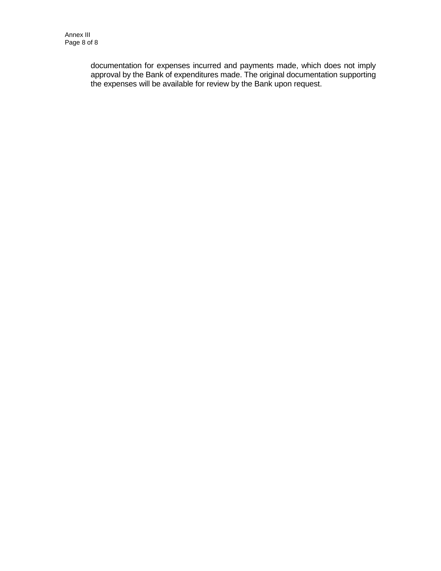documentation for expenses incurred and payments made, which does not imply approval by the Bank of expenditures made. The original documentation supporting the expenses will be available for review by the Bank upon request.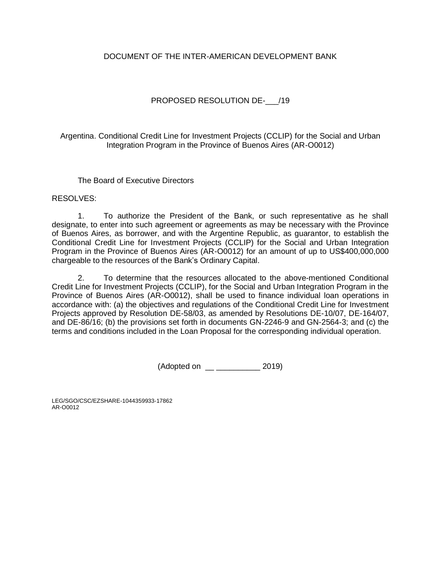# DOCUMENT OF THE INTER-AMERICAN DEVELOPMENT BANK

# PROPOSED RESOLUTION DE- /19

Argentina. Conditional Credit Line for Investment Projects (CCLIP) for the Social and Urban Integration Program in the Province of Buenos Aires (AR-O0012)

The Board of Executive Directors

RESOLVES:

1. To authorize the President of the Bank, or such representative as he shall designate, to enter into such agreement or agreements as may be necessary with the Province of Buenos Aires, as borrower, and with the Argentine Republic, as guarantor, to establish the Conditional Credit Line for Investment Projects (CCLIP) for the Social and Urban Integration Program in the Province of Buenos Aires (AR-O0012) for an amount of up to US\$400,000,000 chargeable to the resources of the Bank's Ordinary Capital.

2. To determine that the resources allocated to the above-mentioned Conditional Credit Line for Investment Projects (CCLIP), for the Social and Urban Integration Program in the Province of Buenos Aires (AR-O0012), shall be used to finance individual loan operations in accordance with: (a) the objectives and regulations of the Conditional Credit Line for Investment Projects approved by Resolution DE-58/03, as amended by Resolutions DE-10/07, DE-164/07, and DE-86/16; (b) the provisions set forth in documents GN-2246-9 and GN-2564-3; and (c) the terms and conditions included in the Loan Proposal for the corresponding individual operation.

(Adopted on \_\_ \_\_\_\_\_\_\_\_\_\_ 2019)

LEG/SGO/CSC/EZSHARE-1044359933-17862 AR-O0012